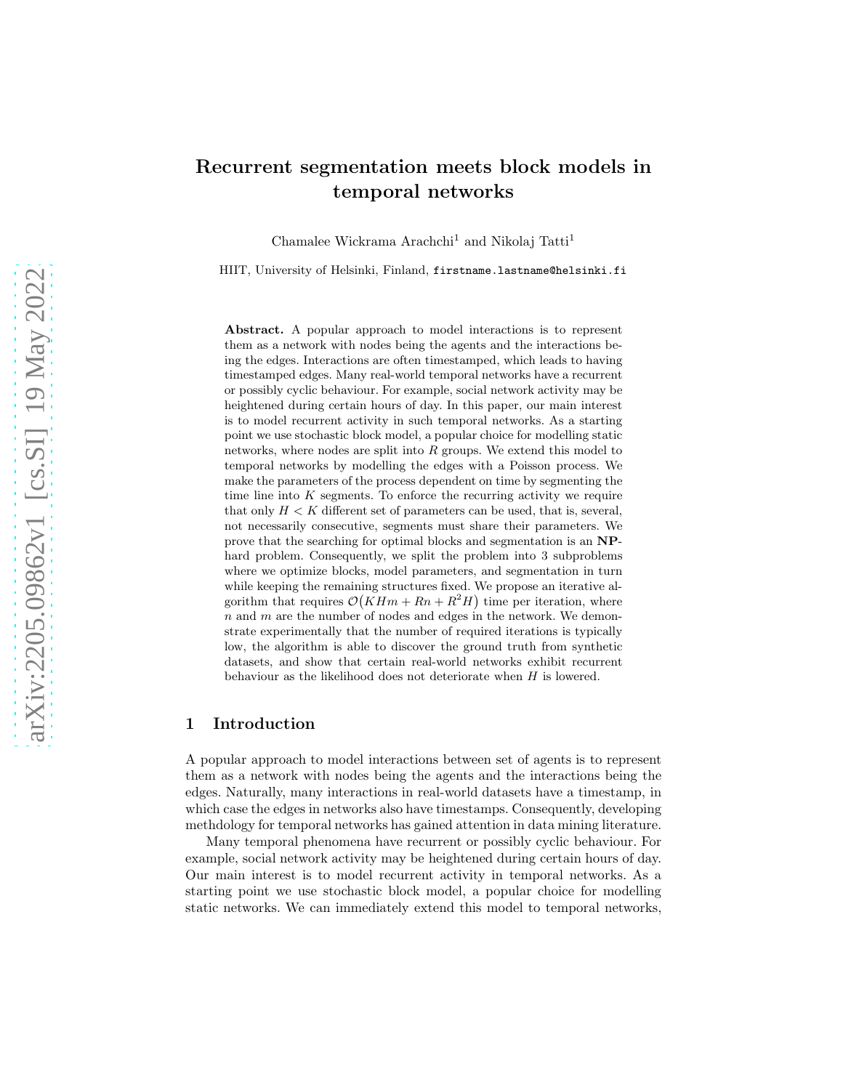# Recurrent segmentation meets block models in temporal networks

Chamalee Wickrama Arachchi<sup>1</sup> and Nikolaj Tatti<sup>1</sup>

HIIT, University of Helsinki, Finland, firstname.lastname@helsinki.fi

Abstract. A popular approach to model interactions is to represent them as a network with nodes being the agents and the interactions being the edges. Interactions are often timestamped, which leads to having timestamped edges. Many real-world temporal networks have a recurrent or possibly cyclic behaviour. For example, social network activity may be heightened during certain hours of day. In this paper, our main interest is to model recurrent activity in such temporal networks. As a starting point we use stochastic block model, a popular choice for modelling static networks, where nodes are split into  $R$  groups. We extend this model to temporal networks by modelling the edges with a Poisson process. We make the parameters of the process dependent on time by segmenting the time line into  $K$  segments. To enforce the recurring activity we require that only  $H < K$  different set of parameters can be used, that is, several, not necessarily consecutive, segments must share their parameters. We prove that the searching for optimal blocks and segmentation is an NPhard problem. Consequently, we split the problem into 3 subproblems where we optimize blocks, model parameters, and segmentation in turn while keeping the remaining structures fixed. We propose an iterative algorithm that requires  $\mathcal{O}(K H m + R n + R^2 H)$  time per iteration, where  $n$  and  $m$  are the number of nodes and edges in the network. We demonstrate experimentally that the number of required iterations is typically low, the algorithm is able to discover the ground truth from synthetic datasets, and show that certain real-world networks exhibit recurrent behaviour as the likelihood does not deteriorate when H is lowered.

# 1 Introduction

A popular approach to model interactions between set of agents is to represent them as a network with nodes being the agents and the interactions being the edges. Naturally, many interactions in real-world datasets have a timestamp, in which case the edges in networks also have timestamps. Consequently, developing methdology for temporal networks has gained attention in data mining literature.

Many temporal phenomena have recurrent or possibly cyclic behaviour. For example, social network activity may be heightened during certain hours of day. Our main interest is to model recurrent activity in temporal networks. As a starting point we use stochastic block model, a popular choice for modelling static networks. We can immediately extend this model to temporal networks,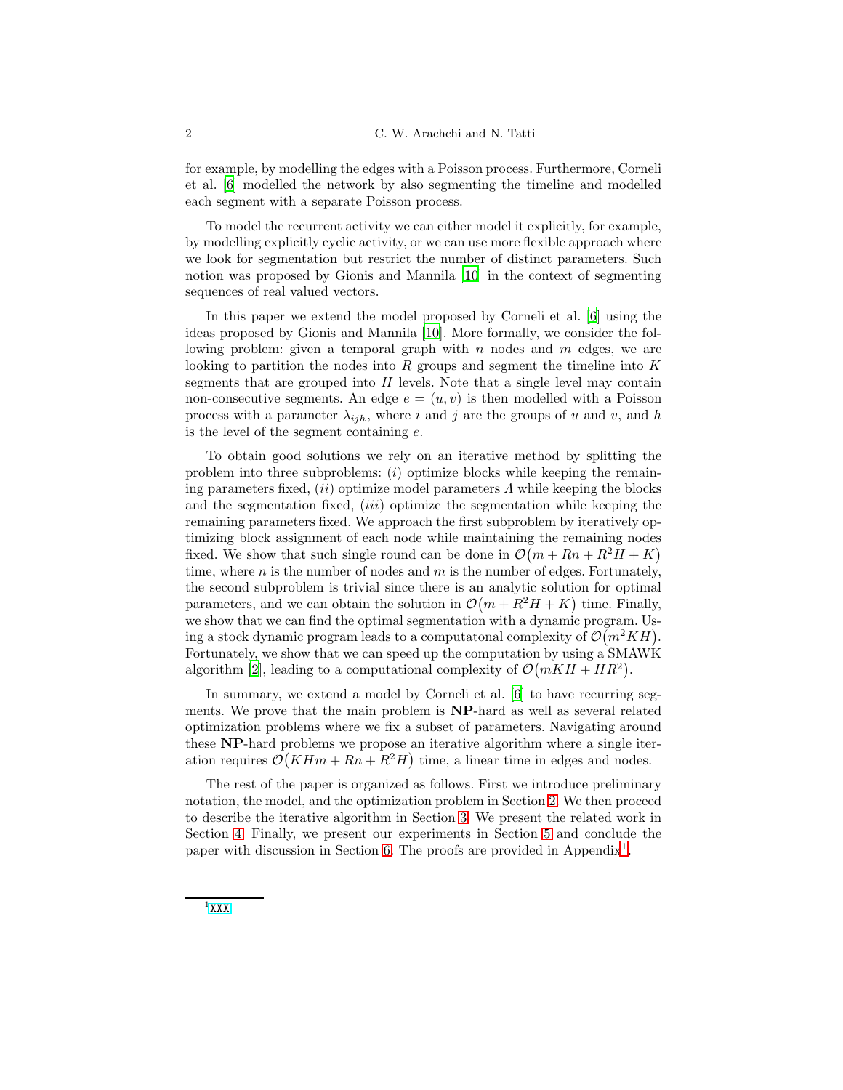for example, by modelling the edges with a Poisson process. Furthermore, Corneli et al. [\[6\]](#page-13-0) modelled the network by also segmenting the timeline and modelled each segment with a separate Poisson process.

To model the recurrent activity we can either model it explicitly, for example, by modelling explicitly cyclic activity, or we can use more flexible approach where we look for segmentation but restrict the number of distinct parameters. Such notion was proposed by Gionis and Mannila [\[10\]](#page-14-0) in the context of segmenting sequences of real valued vectors.

In this paper we extend the model proposed by Corneli et al. [\[6\]](#page-13-0) using the ideas proposed by Gionis and Mannila [\[10](#page-14-0)]. More formally, we consider the following problem: given a temporal graph with  $n$  nodes and  $m$  edges, we are looking to partition the nodes into  $R$  groups and segment the timeline into  $K$ segments that are grouped into  $H$  levels. Note that a single level may contain non-consecutive segments. An edge  $e = (u, v)$  is then modelled with a Poisson process with a parameter  $\lambda_{ijh}$ , where i and j are the groups of u and v, and h is the level of the segment containing e.

To obtain good solutions we rely on an iterative method by splitting the problem into three subproblems:  $(i)$  optimize blocks while keeping the remaining parameters fixed,  $(ii)$  optimize model parameters  $\Lambda$  while keeping the blocks and the segmentation fixed, *(iii)* optimize the segmentation while keeping the remaining parameters fixed. We approach the first subproblem by iteratively optimizing block assignment of each node while maintaining the remaining nodes fixed. We show that such single round can be done in  $\mathcal{O}(m + Rn + R^2H + K)$ time, where  $n$  is the number of nodes and  $m$  is the number of edges. Fortunately, the second subproblem is trivial since there is an analytic solution for optimal parameters, and we can obtain the solution in  $\mathcal{O}(m + R^2H + K)$  time. Finally, we show that we can find the optimal segmentation with a dynamic program. Using a stock dynamic program leads to a computatonal complexity of  $\mathcal{O}(m^2KH)$ . Fortunately, we show that we can speed up the computation by using a SMAWK algorithm [\[2\]](#page-13-1), leading to a computational complexity of  $\mathcal{O}(mKH + HR^2)$ .

In summary, we extend a model by Corneli et al. [\[6](#page-13-0)] to have recurring segments. We prove that the main problem is NP-hard as well as several related optimization problems where we fix a subset of parameters. Navigating around these NP-hard problems we propose an iterative algorithm where a single iteration requires  $\mathcal{O}(K H m + R n + R^2 H)$  time, a linear time in edges and nodes.

<span id="page-1-0"></span>The rest of the paper is organized as follows. First we introduce preliminary notation, the model, and the optimization problem in Section [2.](#page-2-0) We then proceed to describe the iterative algorithm in Section [3.](#page-4-0) We present the related work in Section [4.](#page-8-0) Finally, we present our experiments in Section [5](#page-9-0) and conclude the paper with discussion in Section [6.](#page-13-2) The proofs are provided in Appendix<sup>[1](#page-1-0)</sup>.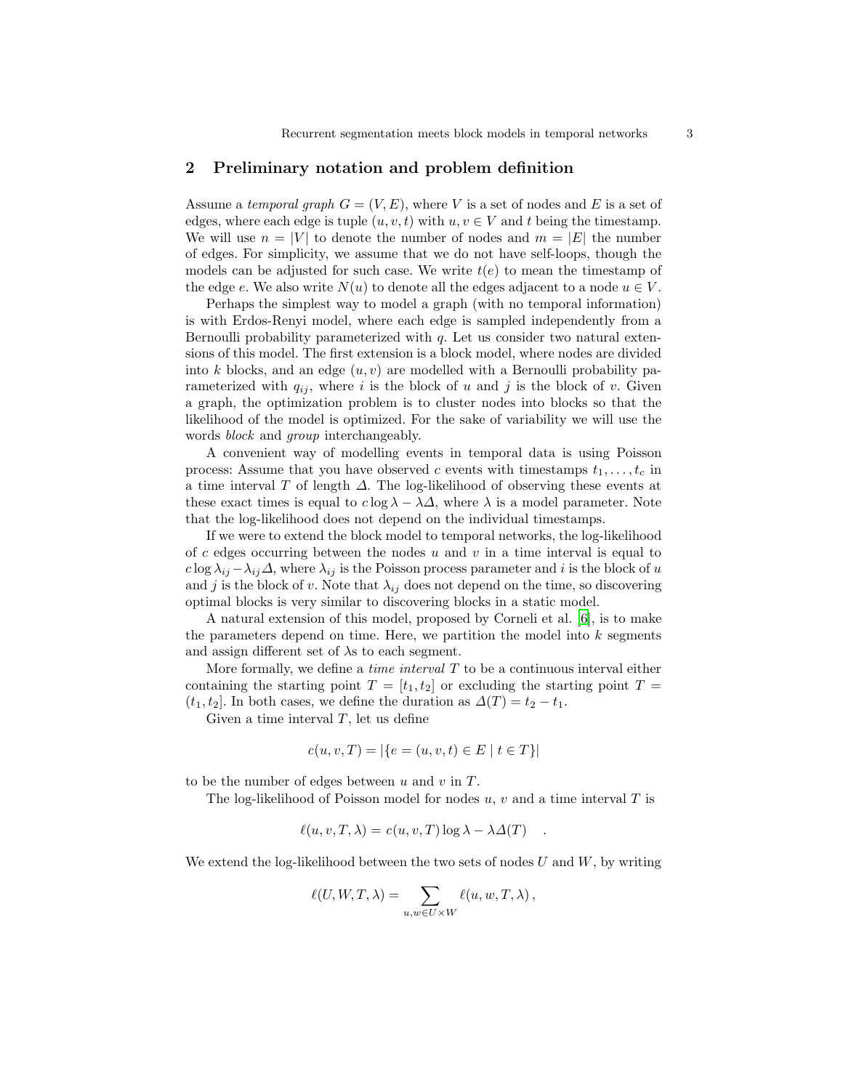## <span id="page-2-0"></span>2 Preliminary notation and problem definition

Assume a temporal graph  $G = (V, E)$ , where V is a set of nodes and E is a set of edges, where each edge is tuple  $(u, v, t)$  with  $u, v \in V$  and t being the timestamp. We will use  $n = |V|$  to denote the number of nodes and  $m = |E|$  the number of edges. For simplicity, we assume that we do not have self-loops, though the models can be adjusted for such case. We write  $t(e)$  to mean the timestamp of the edge e. We also write  $N(u)$  to denote all the edges adjacent to a node  $u \in V$ .

Perhaps the simplest way to model a graph (with no temporal information) is with Erdos-Renyi model, where each edge is sampled independently from a Bernoulli probability parameterized with  $q$ . Let us consider two natural extensions of this model. The first extension is a block model, where nodes are divided into k blocks, and an edge  $(u, v)$  are modelled with a Bernoulli probability parameterized with  $q_{ij}$ , where i is the block of u and j is the block of v. Given a graph, the optimization problem is to cluster nodes into blocks so that the likelihood of the model is optimized. For the sake of variability we will use the words *block* and *group* interchangeably.

A convenient way of modelling events in temporal data is using Poisson process: Assume that you have observed c events with timestamps  $t_1, \ldots, t_c$  in a time interval T of length  $\Delta$ . The log-likelihood of observing these events at these exact times is equal to  $c \log \lambda - \lambda \Delta$ , where  $\lambda$  is a model parameter. Note that the log-likelihood does not depend on the individual timestamps.

If we were to extend the block model to temporal networks, the log-likelihood of c edges occurring between the nodes  $u$  and  $v$  in a time interval is equal to  $c \log \lambda_{ij} - \lambda_{ij} \Delta$ , where  $\lambda_{ij}$  is the Poisson process parameter and i is the block of u and j is the block of v. Note that  $\lambda_{ij}$  does not depend on the time, so discovering optimal blocks is very similar to discovering blocks in a static model.

A natural extension of this model, proposed by Corneli et al. [\[6\]](#page-13-0), is to make the parameters depend on time. Here, we partition the model into  $k$  segments and assign different set of  $\lambda$ s to each segment.

More formally, we define a *time interval*  $T$  to be a continuous interval either containing the starting point  $T = [t_1, t_2]$  or excluding the starting point  $T =$  $(t_1, t_2]$ . In both cases, we define the duration as  $\Delta(T) = t_2 - t_1$ .

Given a time interval  $T$ , let us define

$$
c(u, v, T) = |\{e = (u, v, t) \in E \mid t \in T\}|
$$

to be the number of edges between  $u$  and  $v$  in  $T$ .

The log-likelihood of Poisson model for nodes  $u, v$  and a time interval T is

$$
\ell(u, v, T, \lambda) = c(u, v, T) \log \lambda - \lambda \Delta(T) .
$$

We extend the log-likelihood between the two sets of nodes  $U$  and  $W$ , by writing

$$
\ell(U, W, T, \lambda) = \sum_{u, w \in U \times W} \ell(u, w, T, \lambda),
$$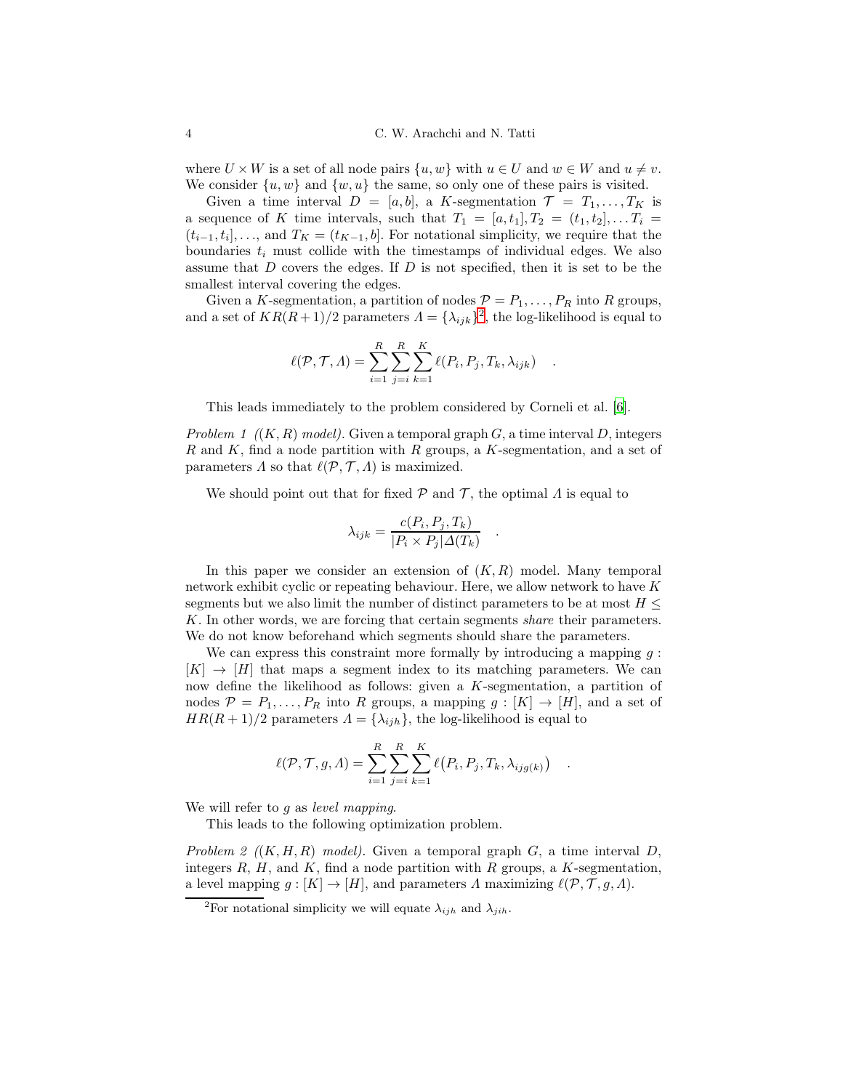where  $U \times W$  is a set of all node pairs  $\{u, w\}$  with  $u \in U$  and  $w \in W$  and  $u \neq v$ . We consider  $\{u, w\}$  and  $\{w, u\}$  the same, so only one of these pairs is visited.

Given a time interval  $D = [a, b]$ , a K-segmentation  $\mathcal{T} = T_1, \ldots, T_K$  is a sequence of K time intervals, such that  $T_1 = [a, t_1], T_2 = (t_1, t_2], \ldots, T_i =$  $(t_{i-1}, t_i], \ldots$ , and  $T_K = (t_{K-1}, b]$ . For notational simplicity, we require that the boundaries  $t_i$  must collide with the timestamps of individual edges. We also assume that D covers the edges. If D is not specified, then it is set to be the smallest interval covering the edges.

Given a K-segmentation, a partition of nodes  $\mathcal{P} = P_1, \ldots, P_R$  into R groups, and a set of  $KR(R+1)/2$  $KR(R+1)/2$  parameters  $\Lambda = {\lambda_{ijk}}^2$ , the log-likelihood is equal to

$$
\ell(\mathcal{P}, \mathcal{T}, \Lambda) = \sum_{i=1}^{R} \sum_{j=i}^{R} \sum_{k=1}^{K} \ell(P_i, P_j, T_k, \lambda_{ijk}) .
$$

This leads immediately to the problem considered by Corneli et al. [\[6\]](#page-13-0).

Problem 1  $((K, R) \text{ model})$ . Given a temporal graph G, a time interval D, integers R and K, find a node partition with R groups, a K-segmentation, and a set of parameters  $\Lambda$  so that  $\ell(\mathcal{P}, \mathcal{T}, \Lambda)$  is maximized.

We should point out that for fixed  $\mathcal P$  and  $\mathcal T$ , the optimal  $\Lambda$  is equal to

$$
\lambda_{ijk} = \frac{c(P_i, P_j, T_k)}{|P_i \times P_j| \Delta(T_k)}
$$

.

<span id="page-3-1"></span>.

In this paper we consider an extension of  $(K, R)$  model. Many temporal network exhibit cyclic or repeating behaviour. Here, we allow network to have K segments but we also limit the number of distinct parameters to be at most  $H \leq$ K. In other words, we are forcing that certain segments share their parameters. We do not know beforehand which segments should share the parameters.

We can express this constraint more formally by introducing a mapping  $q$ :  $[K] \rightarrow [H]$  that maps a segment index to its matching parameters. We can now define the likelihood as follows: given a K-segmentation, a partition of nodes  $\mathcal{P} = P_1, \ldots, P_R$  into R groups, a mapping  $g : [K] \to [H]$ , and a set of  $HR(R+1)/2$  parameters  $\Lambda = {\lambda_{ijh}}$ , the log-likelihood is equal to

$$
\ell(\mathcal{P}, \mathcal{T}, g, \Lambda) = \sum_{i=1}^{R} \sum_{j=i}^{R} \sum_{k=1}^{K} \ell(P_i, P_j, T_k, \lambda_{ijg(k)})
$$

We will refer to  $g$  as *level mapping*.

This leads to the following optimization problem.

Problem 2  $((K, H, R) \mod l)$ . Given a temporal graph G, a time interval D, integers R, H, and K, find a node partition with R groups, a K-segmentation, a level mapping  $g : [K] \to [H]$ , and parameters  $\Lambda$  maximizing  $\ell(\mathcal{P}, \mathcal{T}, g, \Lambda)$ .

<span id="page-3-0"></span><sup>&</sup>lt;sup>2</sup>For notational simplicity we will equate  $\lambda_{ijh}$  and  $\lambda_{jih}$ .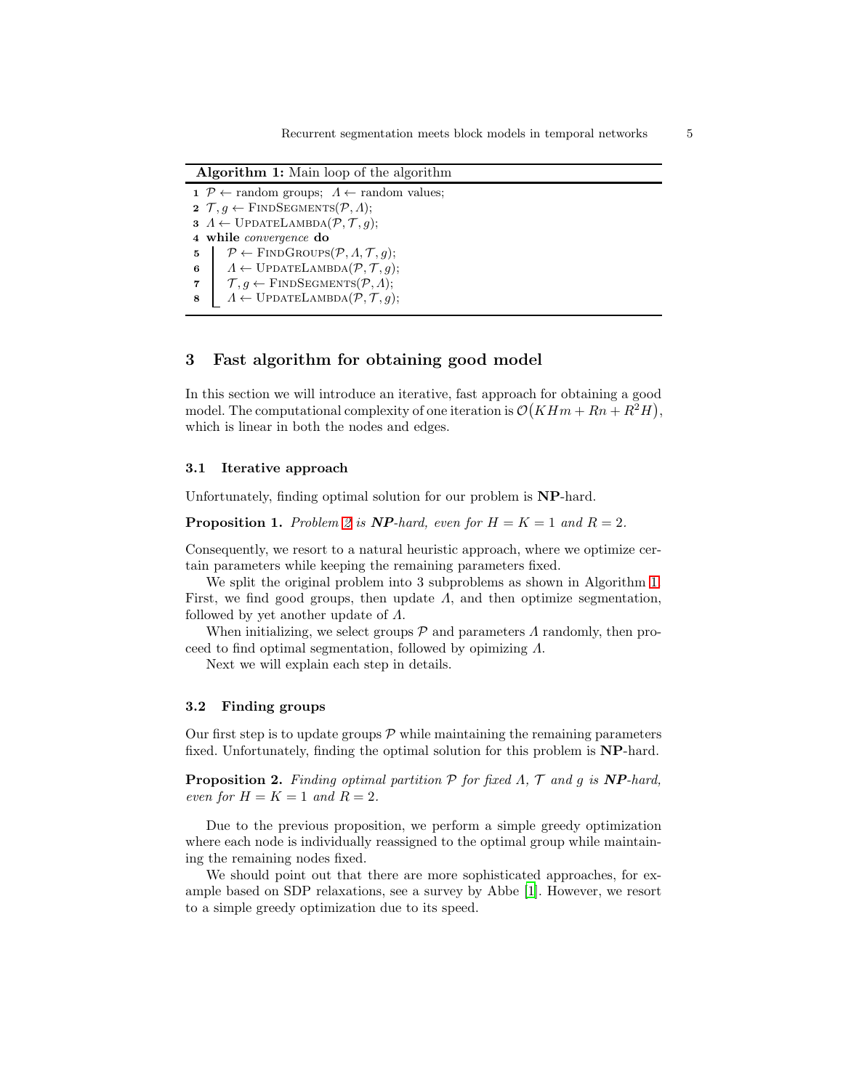<span id="page-4-1"></span>Algorithm 1: Main loop of the algorithm

 $\mathcal{P} \leftarrow$  random groups;  $\Lambda \leftarrow$  random values;  $\mathcal{T}, q \leftarrow$  FINDSEGMENTS $(\mathcal{P}, \Lambda);$   $A \leftarrow \text{UPDATELAMBDA}(\mathcal{P}, \mathcal{T}, g);$  while convergence do  $\mathfrak{s}$   $\mathcal{P} \leftarrow$  FINDGROUPS $(\mathcal{P}, \Lambda, \mathcal{T}, q);$  $A \leftarrow \text{UPDATELAMBDA}(\mathcal{P}, \mathcal{T}, g);$  $\mathcal{T}, q \leftarrow$  FINDSEGMENTS $(\mathcal{P}, \Lambda);$  $A \leftarrow \text{UPDATELAMBDA}(\mathcal{P}, \mathcal{T}, g);$ 

### <span id="page-4-0"></span>3 Fast algorithm for obtaining good model

In this section we will introduce an iterative, fast approach for obtaining a good model. The computational complexity of one iteration is  $\mathcal{O}(K H m + R n + R^2 H)$ , which is linear in both the nodes and edges.

#### 3.1 Iterative approach

Unfortunately, finding optimal solution for our problem is NP-hard.

**Proposition 1.** Problem [2](#page-3-1) is **NP**-hard, even for  $H = K = 1$  and  $R = 2$ .

Consequently, we resort to a natural heuristic approach, where we optimize certain parameters while keeping the remaining parameters fixed.

We split the original problem into 3 subproblems as shown in Algorithm [1.](#page-4-1) First, we find good groups, then update  $\Lambda$ , and then optimize segmentation, followed by yet another update of Λ.

When initializing, we select groups  $\mathcal P$  and parameters  $\Lambda$  randomly, then proceed to find optimal segmentation, followed by opimizing Λ.

Next we will explain each step in details.

#### 3.2 Finding groups

<span id="page-4-3"></span>Our first step is to update groups  $P$  while maintaining the remaining parameters fixed. Unfortunately, finding the optimal solution for this problem is NP-hard.

**Proposition 2.** Finding optimal partition  $P$  for fixed  $\Lambda$ ,  $T$  and  $q$  is  $NP$ -hard, even for  $H = K = 1$  and  $R = 2$ .

Due to the previous proposition, we perform a simple greedy optimization where each node is individually reassigned to the optimal group while maintaining the remaining nodes fixed.

We should point out that there are more sophisticated approaches, for example based on SDP relaxations, see a survey by Abbe [\[1\]](#page-13-3). However, we resort to a simple greedy optimization due to its speed.

<span id="page-4-2"></span>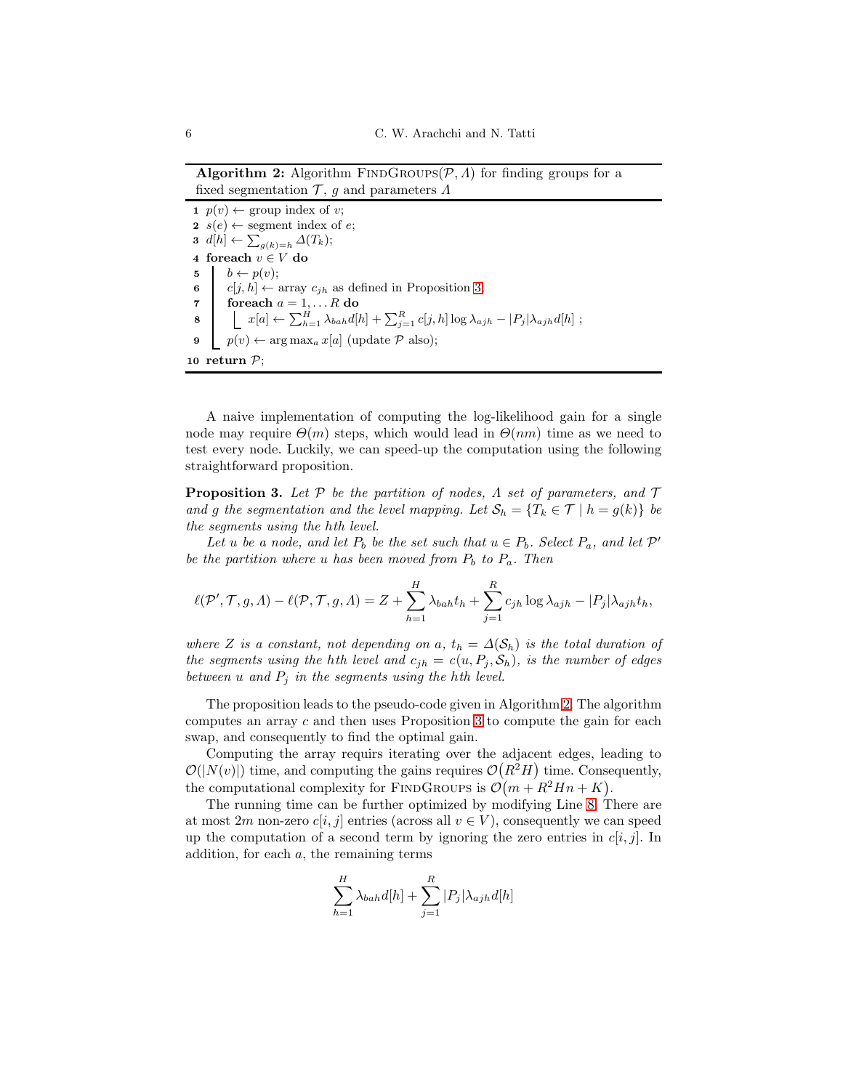**Algorithm 2:** Algorithm FINDGROUPS( $P, \Lambda$ ) for finding groups for a fixed segmentation  $\mathcal{T}$ , g and parameters  $\Lambda$ 

<span id="page-5-1"></span>1  $p(v) \leftarrow \text{group index of } v;$ 2  $s(e) \leftarrow$  segment index of e;  $3 \ d[h] \leftarrow \sum_{g(k)=h} \Delta(T_k);$ 4 foreach  $v \in V$ do 5  $b \leftarrow p(v);$ 6 c[j, h]  $\leftarrow$  array  $c_{jh}$  as defined in Proposition [3;](#page-5-0) 7 foreach  $a = 1, \ldots R$  do 8  $x[a] \leftarrow \sum_{h=1}^{H} \lambda_{bah} d[h] + \sum_{j=1}^{R} c[j, h] \log \lambda_{ajh} - |P_j| \lambda_{ajh} d[h]$ ; 9  $p(v) \leftarrow \arg \max_a x[a]$  (update  $\mathcal{P}$  also); 10 return  $P$ ;

<span id="page-5-2"></span>A naive implementation of computing the log-likelihood gain for a single node may require  $\Theta(m)$  steps, which would lead in  $\Theta(nm)$  time as we need to test every node. Luckily, we can speed-up the computation using the following straightforward proposition.

<span id="page-5-0"></span>**Proposition 3.** Let P be the partition of nodes,  $\Lambda$  set of parameters, and  $\mathcal{T}$ and g the segmentation and the level mapping. Let  $\mathcal{S}_h = \{T_k \in \mathcal{T} \mid h = g(k)\}\;$  be the segments using the hth level.

Let u be a node, and let  $P_b$  be the set such that  $u \in P_b$ . Select  $P_a$ , and let  $\mathcal{P}'$ be the partition where u has been moved from  $P_b$  to  $P_a$ . Then

$$
\ell(\mathcal{P}', \mathcal{T}, g, \Lambda) - \ell(\mathcal{P}, \mathcal{T}, g, \Lambda) = Z + \sum_{h=1}^{H} \lambda_{bah} t_h + \sum_{j=1}^{R} c_{jh} \log \lambda_{ajh} - |P_j| \lambda_{ajh} t_h,
$$

where Z is a constant, not depending on a,  $t_h = \Delta(S_h)$  is the total duration of the segments using the hth level and  $c_{jh} = c(u, P_j, S_h)$ , is the number of edges between u and  $P_i$  in the segments using the hth level.

The proposition leads to the pseudo-code given in Algorithm [2.](#page-5-1) The algorithm computes an array  $c$  and then uses Proposition [3](#page-5-0) to compute the gain for each swap, and consequently to find the optimal gain.

Computing the array requirs iterating over the adjacent edges, leading to  $\mathcal{O}(|N(v)|)$  time, and computing the gains requires  $\mathcal{O}(R^2H)$  time. Consequently, the computational complexity for FINDGROUPS is  $\mathcal{O}(m + R^2 H n + K)$ .

The running time can be further optimized by modifying Line [8.](#page-5-2) There are at most 2m non-zero  $c[i, j]$  entries (across all  $v \in V$ ), consequently we can speed up the computation of a second term by ignoring the zero entries in  $c[i, j]$ . In addition, for each  $a$ , the remaining terms

$$
\sum_{h=1}^{H} \lambda_{bah} d[h] + \sum_{j=1}^{R} |P_j| \lambda_{ajh} d[h]
$$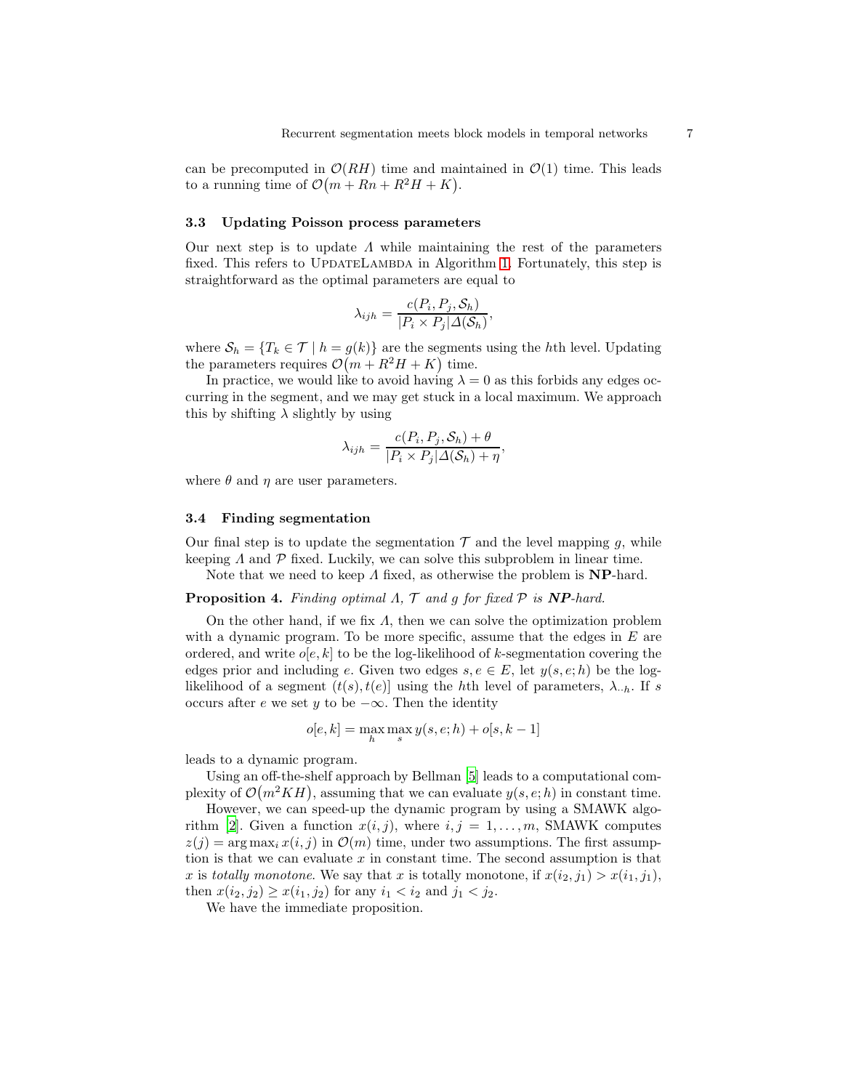can be precomputed in  $\mathcal{O}(RH)$  time and maintained in  $\mathcal{O}(1)$  time. This leads to a running time of  $\mathcal{O}(m + Rn + R^2H + K)$ .

#### 3.3 Updating Poisson process parameters

Our next step is to update  $\Lambda$  while maintaining the rest of the parameters fixed. This refers to UPDATELAMBDA in Algorithm [1.](#page-4-1) Fortunately, this step is straightforward as the optimal parameters are equal to

$$
\lambda_{ijh} = \frac{c(P_i, P_j, \mathcal{S}_h)}{|P_i \times P_j| \Delta(\mathcal{S}_h)},
$$

where  $S_h = \{T_k \in \mathcal{T} \mid h = g(k)\}\$  are the segments using the hth level. Updating the parameters requires  $\mathcal{O}(m + R^2H + K)$  time.

In practice, we would like to avoid having  $\lambda = 0$  as this forbids any edges occurring in the segment, and we may get stuck in a local maximum. We approach this by shifting  $\lambda$  slightly by using

<span id="page-6-0"></span>
$$
\lambda_{ijh} = \frac{c(P_i, P_j, \mathcal{S}_h) + \theta}{|P_i \times P_j| \Delta(\mathcal{S}_h) + \eta},
$$

where  $\theta$  and  $\eta$  are user parameters.

#### 3.4 Finding segmentation

Our final step is to update the segmentation  $\mathcal T$  and the level mapping g, while keeping  $\Lambda$  and  $\mathcal P$  fixed. Luckily, we can solve this subproblem in linear time.

Note that we need to keep  $\Lambda$  fixed, as otherwise the problem is **NP**-hard.

## **Proposition 4.** Finding optimal  $\Lambda$ ,  $\mathcal{T}$  and  $g$  for fixed  $\mathcal{P}$  is **NP**-hard.

On the other hand, if we fix  $\Lambda$ , then we can solve the optimization problem with a dynamic program. To be more specific, assume that the edges in  $E$  are ordered, and write  $o[e, k]$  to be the log-likelihood of k-segmentation covering the edges prior and including e. Given two edges  $s, e \in E$ , let  $y(s, e; h)$  be the loglikelihood of a segment  $(t(s), t(e))$  using the hth level of parameters,  $\lambda_{h}$ . If s occurs after e we set y to be  $-\infty$ . Then the identity

<span id="page-6-1"></span>
$$
o[e,k] = \max_{h} \max_{s} y(s,e;h) + o[s,k-1]
$$

leads to a dynamic program.

Using an off-the-shelf approach by Bellman [\[5\]](#page-13-4) leads to a computational complexity of  $\mathcal{O}(m^2KH)$ , assuming that we can evaluate  $y(s, e; h)$  in constant time.

However, we can speed-up the dynamic program by using a SMAWK algo-rithm [\[2](#page-13-1)]. Given a function  $x(i, j)$ , where  $i, j = 1, \ldots, m$ , SMAWK computes  $z(i) = \arg \max_i x(i, i)$  in  $\mathcal{O}(m)$  time, under two assumptions. The first assumption is that we can evaluate  $x$  in constant time. The second assumption is that x is totally monotone. We say that x is totally monotone, if  $x(i_2, j_1) > x(i_1, j_1)$ , then  $x(i_2, j_2) \geq x(i_1, j_2)$  for any  $i_1 < i_2$  and  $j_1 < j_2$ .

We have the immediate proposition.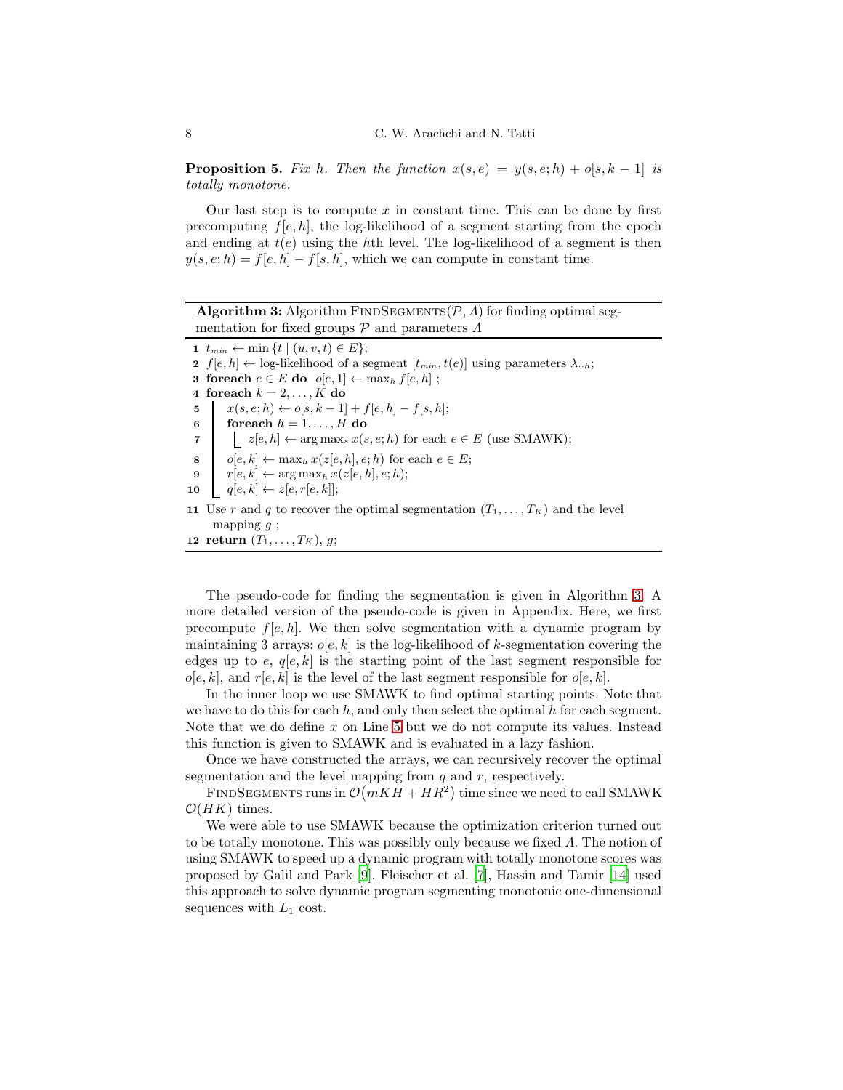**Proposition 5.** Fix h. Then the function  $x(s, e) = y(s, e; h) + o[s, k - 1]$  is totally monotone.

Our last step is to compute  $x$  in constant time. This can be done by first precomputing  $f[e, h]$ , the log-likelihood of a segment starting from the epoch and ending at  $t(e)$  using the hth level. The log-likelihood of a segment is then  $y(s, e; h) = f[e, h] - f[s, h]$ , which we can compute in constant time.

<span id="page-7-1"></span><span id="page-7-0"></span>**Algorithm 3:** Algorithm FINDSEGMENTS( $P$ ,  $\Lambda$ ) for finding optimal segmentation for fixed groups  $P$  and parameters  $\Lambda$ 1  $t_{min} \leftarrow \min \{ t \mid (u, v, t) \in E \};$ 2  $f[e, h] \leftarrow$  log-likelihood of a segment  $[t_{min}, t(e)]$  using parameters  $\lambda_{\cdot h}$ ; 3 foreach  $e \in E$  do  $o[e, 1] \leftarrow \max_h f[e, h]$ ; 4 foreach  $k = 2, \ldots, K$  do 5  $x(s, e; h) \leftarrow o[s, k-1] + f[e, h] - f[s, h];$ 6 foreach  $h = 1, \ldots, H$  do 7  $\vert z[e, h] \leftarrow \arg \max_s x(s, e; h)$  for each  $e \in E$  (use SMAWK); 8  $o[e, k] \leftarrow \max_h x(z[e, h], e; h)$  for each  $e \in E;$ 9  $r[e, k] \leftarrow \arg \max_h x(z[e, h], e; h);$ 10  $q[e, k] \leftarrow z[e, r[e, k]];$ 11 Use r and q to recover the optimal segmentation  $(T_1, \ldots, T_K)$  and the level mapping  $g$ ; 12 return  $(T_1, \ldots, T_K)$ , g;

The pseudo-code for finding the segmentation is given in Algorithm [3.](#page-7-0) A more detailed version of the pseudo-code is given in Appendix. Here, we first precompute  $f[e, h]$ . We then solve segmentation with a dynamic program by maintaining 3 arrays:  $o[e, k]$  is the log-likelihood of k-segmentation covering the edges up to e,  $q[e, k]$  is the starting point of the last segment responsible for  $o[e, k]$ , and  $r[e, k]$  is the level of the last segment responsible for  $o[e, k]$ .

In the inner loop we use SMAWK to find optimal starting points. Note that we have to do this for each  $h$ , and only then select the optimal  $h$  for each segment. Note that we do define  $x$  on Line [5](#page-7-1) but we do not compute its values. Instead this function is given to SMAWK and is evaluated in a lazy fashion.

Once we have constructed the arrays, we can recursively recover the optimal segmentation and the level mapping from  $q$  and  $r$ , respectively.

FINDSEGMENTS runs in  $\mathcal{O}(mKH + HR^2)$  time since we need to call SMAWK  $\mathcal{O}(HK)$  times.

We were able to use SMAWK because the optimization criterion turned out to be totally monotone. This was possibly only because we fixed Λ. The notion of using SMAWK to speed up a dynamic program with totally monotone scores was proposed by Galil and Park [\[9](#page-14-1)]. Fleischer et al. [\[7\]](#page-13-5), Hassin and Tamir [\[14\]](#page-14-2) used this approach to solve dynamic program segmenting monotonic one-dimensional sequences with  $L_1$  cost.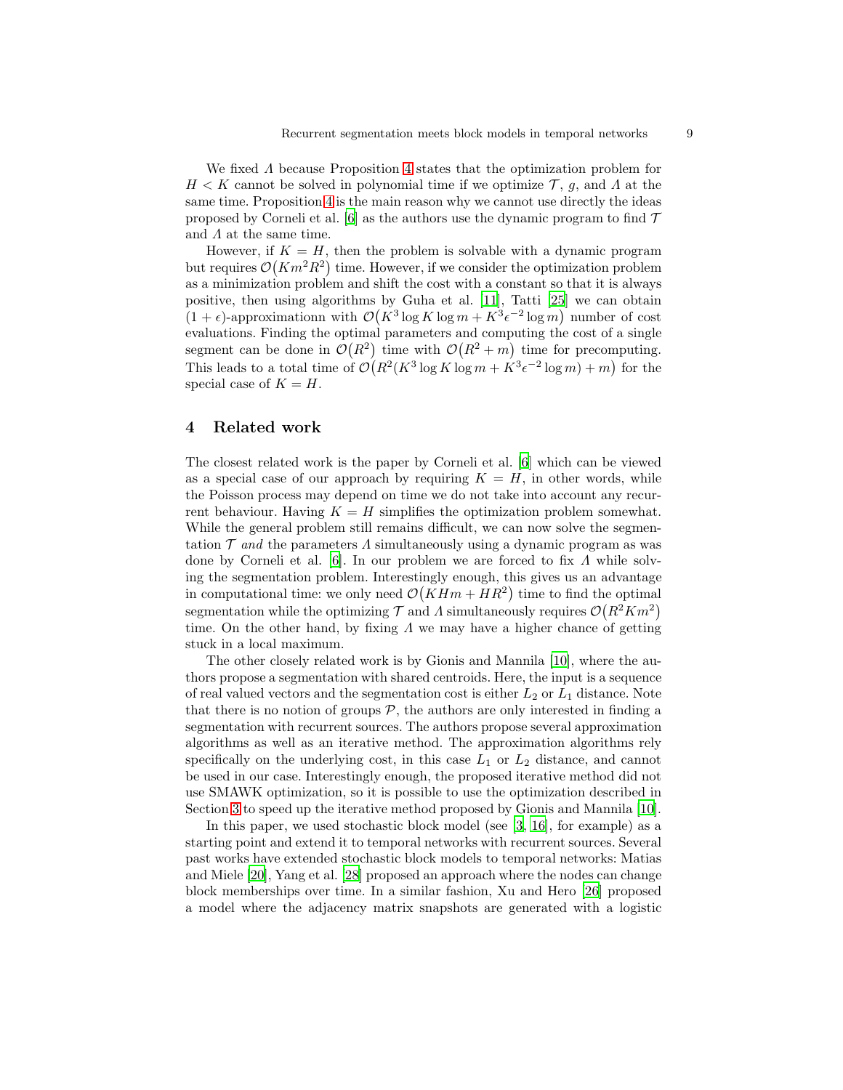We fixed Λ because Proposition [4](#page-6-0) states that the optimization problem for  $H < K$  cannot be solved in polynomial time if we optimize  $\mathcal{T}, g$ , and  $\Lambda$  at the same time. Proposition [4](#page-6-0) is the main reason why we cannot use directly the ideas proposed by Corneli et al. [\[6\]](#page-13-0) as the authors use the dynamic program to find  $\mathcal T$ and  $\Lambda$  at the same time.

However, if  $K = H$ , then the problem is solvable with a dynamic program but requires  $\mathcal{O}(Km^2R^2)$  time. However, if we consider the optimization problem as a minimization problem and shift the cost with a constant so that it is always positive, then using algorithms by Guha et al. [\[11](#page-14-3)], Tatti [\[25](#page-14-4)] we can obtain  $(1 + \epsilon)$ -approximationn with  $\mathcal{O}(K^3 \log K \log m + K^3 \epsilon^{-2} \log m)$  number of cost evaluations. Finding the optimal parameters and computing the cost of a single segment can be done in  $\mathcal{O}(R^2)$  time with  $\mathcal{O}(R^2 + m)$  time for precomputing. This leads to a total time of  $\mathcal{O}(R^2(K^3 \log K \log m + K^3 \epsilon^{-2} \log m) + m)$  for the special case of  $K = H$ .

### <span id="page-8-0"></span>4 Related work

The closest related work is the paper by Corneli et al. [\[6\]](#page-13-0) which can be viewed as a special case of our approach by requiring  $K = H$ , in other words, while the Poisson process may depend on time we do not take into account any recurrent behaviour. Having  $K = H$  simplifies the optimization problem somewhat. While the general problem still remains difficult, we can now solve the segmentation  $\mathcal T$  and the parameters  $\Lambda$  simultaneously using a dynamic program as was done by Corneli et al. [\[6](#page-13-0)]. In our problem we are forced to fix Λ while solving the segmentation problem. Interestingly enough, this gives us an advantage in computational time: we only need  $\mathcal{O}(K H m + H R^2)$  time to find the optimal segmentation while the optimizing  $\mathcal{T}$  and  $\Lambda$  simultaneously requires  $\mathcal{O}(R^2 Km^2)$ time. On the other hand, by fixing  $\Lambda$  we may have a higher chance of getting stuck in a local maximum.

The other closely related work is by Gionis and Mannila [\[10\]](#page-14-0), where the authors propose a segmentation with shared centroids. Here, the input is a sequence of real valued vectors and the segmentation cost is either  $L_2$  or  $L_1$  distance. Note that there is no notion of groups  $P$ , the authors are only interested in finding a segmentation with recurrent sources. The authors propose several approximation algorithms as well as an iterative method. The approximation algorithms rely specifically on the underlying cost, in this case  $L_1$  or  $L_2$  distance, and cannot be used in our case. Interestingly enough, the proposed iterative method did not use SMAWK optimization, so it is possible to use the optimization described in Section [3](#page-4-0) to speed up the iterative method proposed by Gionis and Mannila [\[10](#page-14-0)].

In this paper, we used stochastic block model (see [\[3](#page-13-6), [16](#page-14-5)], for example) as a starting point and extend it to temporal networks with recurrent sources. Several past works have extended stochastic block models to temporal networks: Matias and Miele [\[20\]](#page-14-6), Yang et al. [\[28\]](#page-14-7) proposed an approach where the nodes can change block memberships over time. In a similar fashion, Xu and Hero [\[26\]](#page-14-8) proposed a model where the adjacency matrix snapshots are generated with a logistic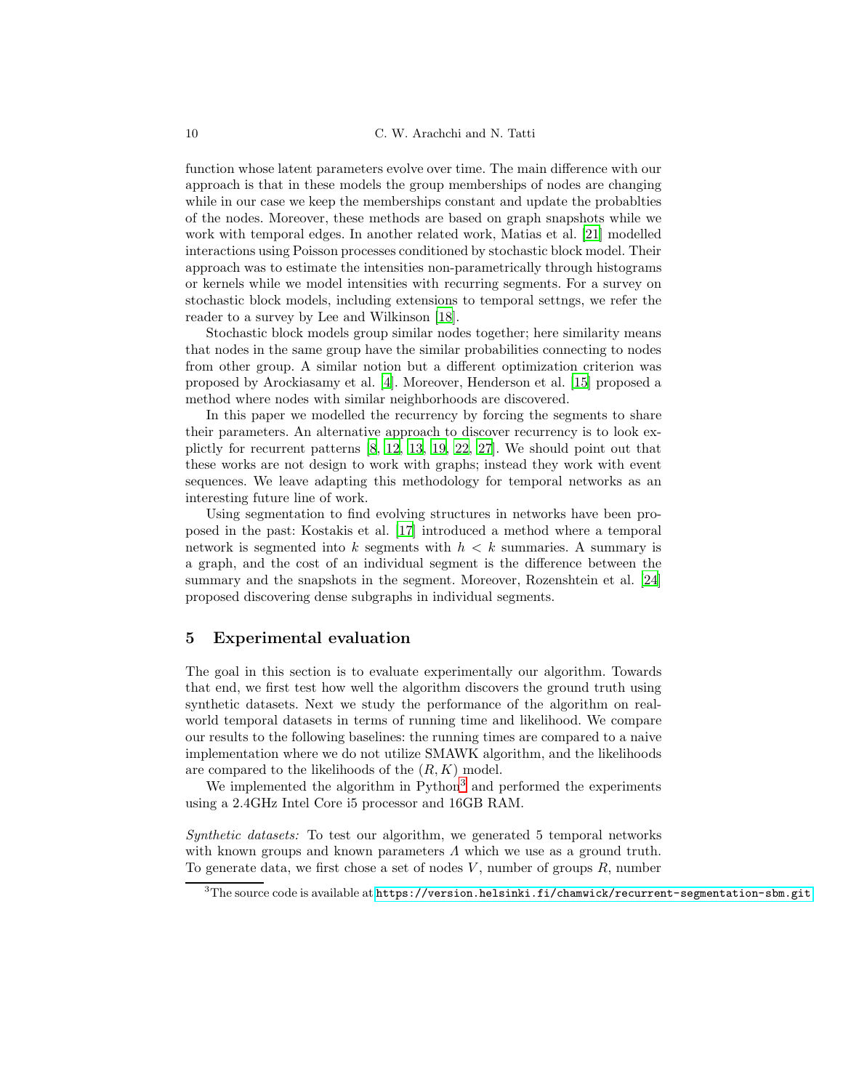function whose latent parameters evolve over time. The main difference with our approach is that in these models the group memberships of nodes are changing while in our case we keep the memberships constant and update the probablties of the nodes. Moreover, these methods are based on graph snapshots while we work with temporal edges. In another related work, Matias et al. [\[21](#page-14-9)] modelled interactions using Poisson processes conditioned by stochastic block model. Their approach was to estimate the intensities non-parametrically through histograms or kernels while we model intensities with recurring segments. For a survey on stochastic block models, including extensions to temporal settngs, we refer the reader to a survey by Lee and Wilkinson [\[18\]](#page-14-10).

Stochastic block models group similar nodes together; here similarity means that nodes in the same group have the similar probabilities connecting to nodes from other group. A similar notion but a different optimization criterion was proposed by Arockiasamy et al. [\[4\]](#page-13-7). Moreover, Henderson et al. [\[15\]](#page-14-11) proposed a method where nodes with similar neighborhoods are discovered.

In this paper we modelled the recurrency by forcing the segments to share their parameters. An alternative approach to discover recurrency is to look explictly for recurrent patterns [\[8,](#page-14-12) [12,](#page-14-13) [13](#page-14-14), [19,](#page-14-15) [22,](#page-14-16) [27\]](#page-14-17). We should point out that these works are not design to work with graphs; instead they work with event sequences. We leave adapting this methodology for temporal networks as an interesting future line of work.

Using segmentation to find evolving structures in networks have been proposed in the past: Kostakis et al. [\[17\]](#page-14-18) introduced a method where a temporal network is segmented into k segments with  $h < k$  summaries. A summary is a graph, and the cost of an individual segment is the difference between the summary and the snapshots in the segment. Moreover, Rozenshtein et al. [\[24\]](#page-14-19) proposed discovering dense subgraphs in individual segments.

### <span id="page-9-0"></span>5 Experimental evaluation

The goal in this section is to evaluate experimentally our algorithm. Towards that end, we first test how well the algorithm discovers the ground truth using synthetic datasets. Next we study the performance of the algorithm on realworld temporal datasets in terms of running time and likelihood. We compare our results to the following baselines: the running times are compared to a naive implementation where we do not utilize SMAWK algorithm, and the likelihoods are compared to the likelihoods of the  $(R, K)$  model.

We implemented the algorithm in Python<sup>[3](#page-9-1)</sup> and performed the experiments using a 2.4GHz Intel Core i5 processor and 16GB RAM.

Synthetic datasets: To test our algorithm, we generated 5 temporal networks with known groups and known parameters  $\Lambda$  which we use as a ground truth. To generate data, we first chose a set of nodes  $V$ , number of groups  $R$ , number

<span id="page-9-1"></span> $^3$ The source code is available at  $\texttt{https://version.helsinki.fi/chamwick/recurrent-segmentation-sm.get}$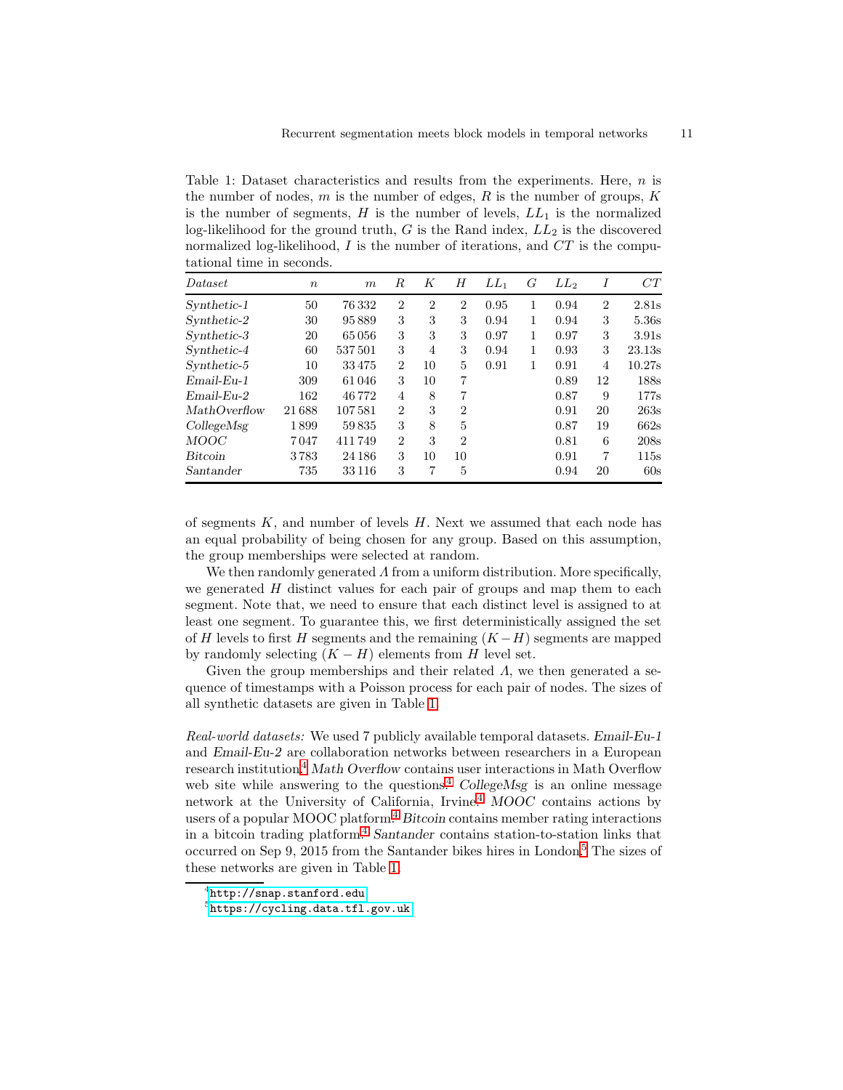<span id="page-10-0"></span>Table 1: Dataset characteristics and results from the experiments. Here,  $n$  is the number of nodes,  $m$  is the number of edges,  $R$  is the number of groups,  $K$ is the number of segments,  $H$  is the number of levels,  $LL_1$  is the normalized log-likelihood for the ground truth,  $G$  is the Rand index,  $LL_2$  is the discovered normalized log-likelihood, I is the number of iterations, and  $CT$  is the computational time in seconds.

| Dataset      | $\boldsymbol{n}$ | m       | R              | K              | Н              | $LL_1$ | G | $LL_2$ | Ι              | CT     |
|--------------|------------------|---------|----------------|----------------|----------------|--------|---|--------|----------------|--------|
| Synthetic-1  | 50               | 76332   | $\overline{2}$ | $\overline{2}$ | $\overline{2}$ | 0.95   | 1 | 0.94   | $\overline{2}$ | 2.81s  |
| Synthetic-2  | 30               | 95889   | 3              | 3              | 3              | 0.94   | 1 | 0.94   | 3              | 5.36s  |
| Synthetic-3  | 20               | 65056   | 3              | 3              | 3              | 0.97   | 1 | 0.97   | 3              | 3.91s  |
| Synthetic-4  | 60               | 537501  | 3              | 4              | 3              | 0.94   | 1 | 0.93   | 3              | 23.13s |
| Synthetic-5  | 10               | 33475   | $\overline{2}$ | 10             | 5              | 0.91   | 1 | 0.91   | $\overline{4}$ | 10.27s |
| $Email-Eu-1$ | 309              | 61046   | 3              | 10             | 7              |        |   | 0.89   | 12             | 188s   |
| $Email-Eu-2$ | 162              | 46772   | $\overline{4}$ | 8              | 7              |        |   | 0.87   | 9              | 177s   |
| MathOverflow | 21688            | 107581  | $\overline{2}$ | 3              | $\overline{2}$ |        |   | 0.91   | 20             | 263s   |
| CollegeMsg   | 1899             | 59835   | 3              | 8              | 5              |        |   | 0.87   | 19             | 662s   |
| <b>MOOC</b>  | 7047             | 411749  | $\overline{2}$ | 3              | $\overline{2}$ |        |   | 0.81   | 6              | 208s   |
| Bitcoin      | 3783             | 24 18 6 | 3              | 10             | 10             |        |   | 0.91   | 7              | 115s   |
| Santander    | 735              | 33 1 16 | 3              | 7              | 5              |        |   | 0.94   | 20             | 60s    |

of segments  $K$ , and number of levels  $H$ . Next we assumed that each node has an equal probability of being chosen for any group. Based on this assumption, the group memberships were selected at random.

We then randomly generated  $\Lambda$  from a uniform distribution. More specifically, we generated  $H$  distinct values for each pair of groups and map them to each segment. Note that, we need to ensure that each distinct level is assigned to at least one segment. To guarantee this, we first deterministically assigned the set of H levels to first H segments and the remaining  $(K-H)$  segments are mapped by randomly selecting  $(K - H)$  elements from H level set.

Given the group memberships and their related  $\Lambda$ , we then generated a sequence of timestamps with a Poisson process for each pair of nodes. The sizes of all synthetic datasets are given in Table [1.](#page-10-0)

Real-world datasets: We used 7 publicly available temporal datasets. Email-Eu-1 and Email-Eu-2 are collaboration networks between researchers in a European research institution.<sup>[4](#page-10-1)</sup> Math Overflow contains user interactions in Math Overflow web site while answering to the questions.<sup>[4](#page-10-1)</sup> CollegeMsg is an online message network at the University of California, Irvine.<sup>[4](#page-10-1)</sup> MOOC contains actions by users of a popular MOOC platform.<sup>[4](#page-10-1)</sup> Bitcoin contains member rating interactions in a bitcoin trading platform.<sup>[4](#page-10-1)</sup> Santander contains station-to-station links that occurred on Sep 9, 2015 from the Santander bikes hires in London.[5](#page-10-2) The sizes of these networks are given in Table [1.](#page-10-0)

 $^4$ <http://snap.stanford.edu>

<span id="page-10-2"></span><span id="page-10-1"></span> $5$ https:// $cycling.data.tf1.gov.uk$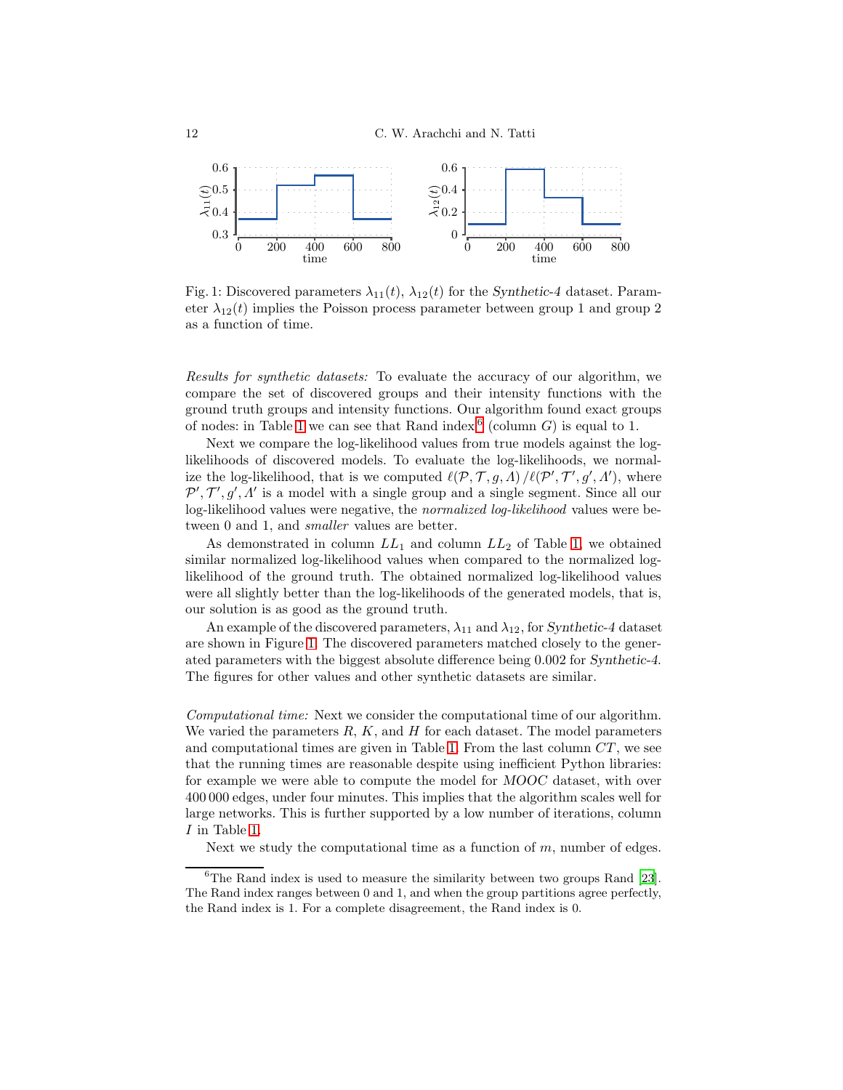<span id="page-11-1"></span>

Fig. 1: Discovered parameters  $\lambda_{11}(t)$ ,  $\lambda_{12}(t)$  for the Synthetic-4 dataset. Parameter  $\lambda_{12}(t)$  implies the Poisson process parameter between group 1 and group 2 as a function of time.

Results for synthetic datasets: To evaluate the accuracy of our algorithm, we compare the set of discovered groups and their intensity functions with the ground truth groups and intensity functions. Our algorithm found exact groups of nodes: in Table [1](#page-10-0) we can see that Rand index  $6$  (column G) is equal to 1.

Next we compare the log-likelihood values from true models against the loglikelihoods of discovered models. To evaluate the log-likelihoods, we normalize the log-likelihood, that is we computed  $\ell(\mathcal{P}, \mathcal{T}, g, \Lambda) / \ell(\mathcal{P}', \mathcal{T}', g', \Lambda')$ , where  $\mathcal{P}', \mathcal{T}', g', \Lambda'$  is a model with a single group and a single segment. Since all our log-likelihood values were negative, the normalized log-likelihood values were between 0 and 1, and *smaller* values are better.

As demonstrated in column  $LL_1$  and column  $LL_2$  of Table [1,](#page-10-0) we obtained similar normalized log-likelihood values when compared to the normalized loglikelihood of the ground truth. The obtained normalized log-likelihood values were all slightly better than the log-likelihoods of the generated models, that is, our solution is as good as the ground truth.

An example of the discovered parameters,  $\lambda_{11}$  and  $\lambda_{12}$ , for Synthetic-4 dataset are shown in Figure [1.](#page-11-1) The discovered parameters matched closely to the generated parameters with the biggest absolute difference being 0.002 for Synthetic-4. The figures for other values and other synthetic datasets are similar.

Computational time: Next we consider the computational time of our algorithm. We varied the parameters  $R, K$ , and  $H$  for each dataset. The model parameters and computational times are given in Table [1.](#page-10-0) From the last column  $CT$ , we see that the running times are reasonable despite using inefficient Python libraries: for example we were able to compute the model for MOOC dataset, with over 400 000 edges, under four minutes. This implies that the algorithm scales well for large networks. This is further supported by a low number of iterations, column I in Table [1.](#page-10-0)

Next we study the computational time as a function of  $m$ , number of edges.

<span id="page-11-0"></span> ${}^{6}$ The Rand index is used to measure the similarity between two groups Rand [\[23](#page-14-20)]. The Rand index ranges between 0 and 1, and when the group partitions agree perfectly, the Rand index is 1. For a complete disagreement, the Rand index is 0.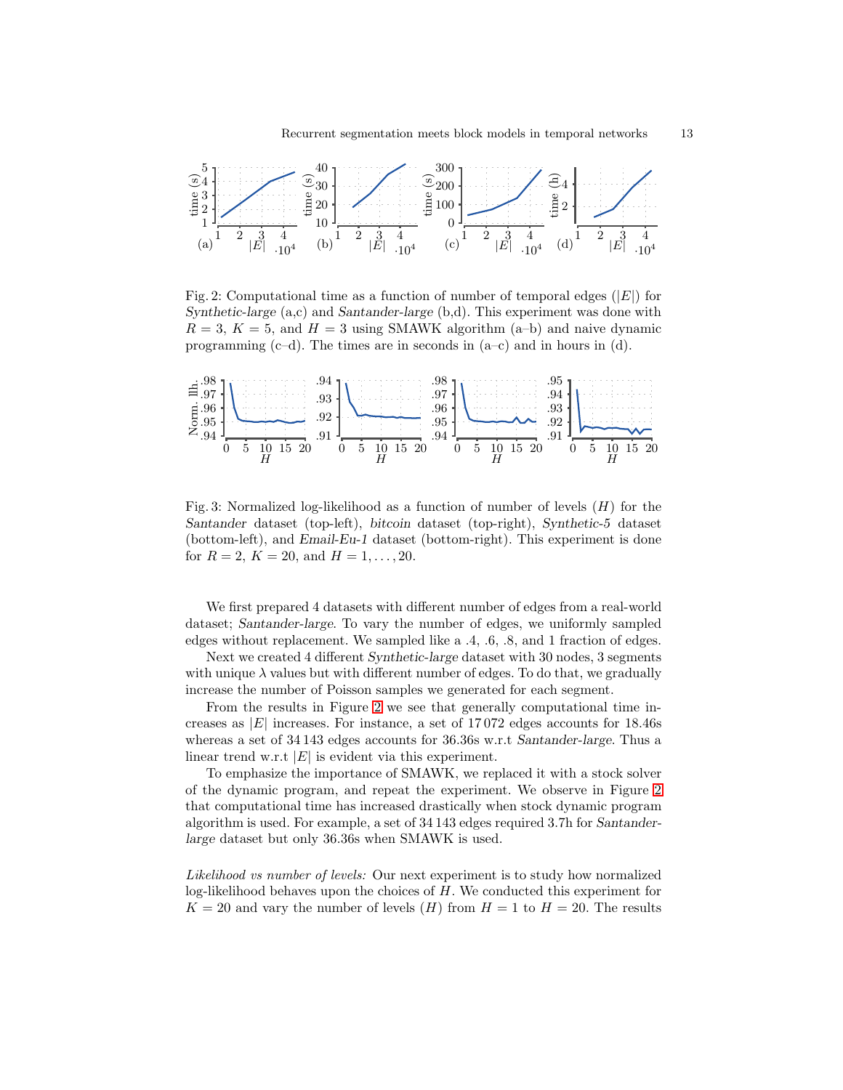<span id="page-12-0"></span>

Fig. 2: Computational time as a function of number of temporal edges  $(|E|)$  for Synthetic-large  $(a, c)$  and Santander-large  $(b, d)$ . This experiment was done with  $R = 3$ ,  $K = 5$ , and  $H = 3$  using SMAWK algorithm (a–b) and naive dynamic programming  $(c-d)$ . The times are in seconds in  $(a-c)$  and in hours in  $(d)$ .

<span id="page-12-1"></span>

Fig. 3: Normalized log-likelihood as a function of number of levels  $(H)$  for the Santander dataset (top-left), bitcoin dataset (top-right), Synthetic-5 dataset (bottom-left), and Email-Eu-1 dataset (bottom-right). This experiment is done for  $R = 2$ ,  $K = 20$ , and  $H = 1, \ldots, 20$ .

We first prepared 4 datasets with different number of edges from a real-world dataset; Santander-large. To vary the number of edges, we uniformly sampled edges without replacement. We sampled like a .4, .6, .8, and 1 fraction of edges.

Next we created 4 different Synthetic-large dataset with 30 nodes, 3 segments with unique  $\lambda$  values but with different number of edges. To do that, we gradually increase the number of Poisson samples we generated for each segment.

From the results in Figure [2](#page-12-0) we see that generally computational time increases as  $|E|$  increases. For instance, a set of 17072 edges accounts for 18.46s whereas a set of 34 143 edges accounts for 36.36s w.r.t Santander-large. Thus a linear trend w.r.t  $|E|$  is evident via this experiment.

To emphasize the importance of SMAWK, we replaced it with a stock solver of the dynamic program, and repeat the experiment. We observe in Figure [2](#page-12-0) that computational time has increased drastically when stock dynamic program algorithm is used. For example, a set of 34 143 edges required 3.7h for Santanderlarge dataset but only 36.36s when SMAWK is used.

Likelihood vs number of levels: Our next experiment is to study how normalized log-likelihood behaves upon the choices of H. We conducted this experiment for  $K = 20$  and vary the number of levels  $(H)$  from  $H = 1$  to  $H = 20$ . The results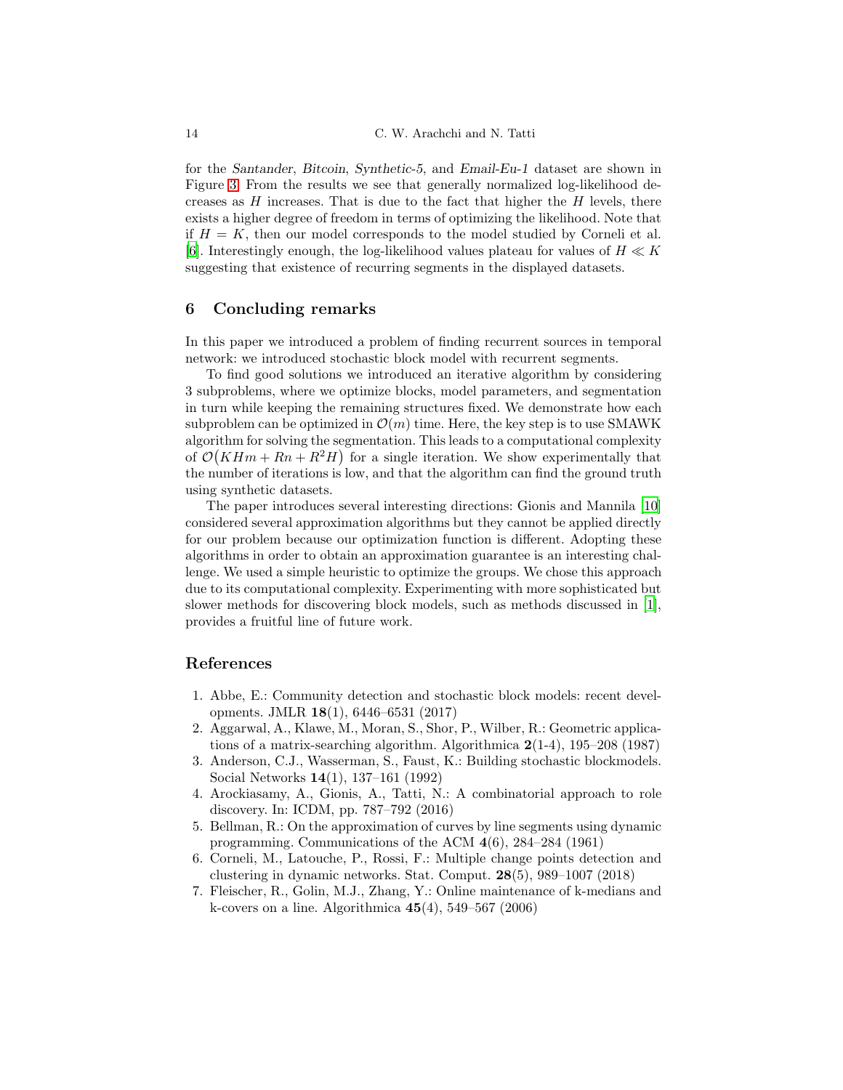for the Santander, Bitcoin, Synthetic-5, and Email-Eu-1 dataset are shown in Figure [3.](#page-12-1) From the results we see that generally normalized log-likelihood decreases as  $H$  increases. That is due to the fact that higher the  $H$  levels, there exists a higher degree of freedom in terms of optimizing the likelihood. Note that if  $H = K$ , then our model corresponds to the model studied by Corneli et al. [\[6\]](#page-13-0). Interestingly enough, the log-likelihood values plateau for values of  $H \ll K$ suggesting that existence of recurring segments in the displayed datasets.

# <span id="page-13-2"></span>6 Concluding remarks

In this paper we introduced a problem of finding recurrent sources in temporal network: we introduced stochastic block model with recurrent segments.

To find good solutions we introduced an iterative algorithm by considering 3 subproblems, where we optimize blocks, model parameters, and segmentation in turn while keeping the remaining structures fixed. We demonstrate how each subproblem can be optimized in  $\mathcal{O}(m)$  time. Here, the key step is to use SMAWK algorithm for solving the segmentation. This leads to a computational complexity of  $\mathcal{O}(K H m + R n + R^2 H)$  for a single iteration. We show experimentally that the number of iterations is low, and that the algorithm can find the ground truth using synthetic datasets.

The paper introduces several interesting directions: Gionis and Mannila [\[10\]](#page-14-0) considered several approximation algorithms but they cannot be applied directly for our problem because our optimization function is different. Adopting these algorithms in order to obtain an approximation guarantee is an interesting challenge. We used a simple heuristic to optimize the groups. We chose this approach due to its computational complexity. Experimenting with more sophisticated but slower methods for discovering block models, such as methods discussed in [\[1](#page-13-3)], provides a fruitful line of future work.

### References

- <span id="page-13-3"></span>1. Abbe, E.: Community detection and stochastic block models: recent developments. JMLR 18(1), 6446–6531 (2017)
- <span id="page-13-1"></span>2. Aggarwal, A., Klawe, M., Moran, S., Shor, P., Wilber, R.: Geometric applications of a matrix-searching algorithm. Algorithmica 2(1-4), 195–208 (1987)
- <span id="page-13-6"></span>3. Anderson, C.J., Wasserman, S., Faust, K.: Building stochastic blockmodels. Social Networks 14(1), 137–161 (1992)
- <span id="page-13-7"></span>4. Arockiasamy, A., Gionis, A., Tatti, N.: A combinatorial approach to role discovery. In: ICDM, pp. 787–792 (2016)
- <span id="page-13-4"></span>5. Bellman, R.: On the approximation of curves by line segments using dynamic programming. Communications of the ACM 4(6), 284–284 (1961)
- <span id="page-13-0"></span>6. Corneli, M., Latouche, P., Rossi, F.: Multiple change points detection and clustering in dynamic networks. Stat. Comput.  $28(5)$ ,  $989-1007$  (2018)
- <span id="page-13-5"></span>7. Fleischer, R., Golin, M.J., Zhang, Y.: Online maintenance of k-medians and k-covers on a line. Algorithmica  $45(4)$ , 549–567 (2006)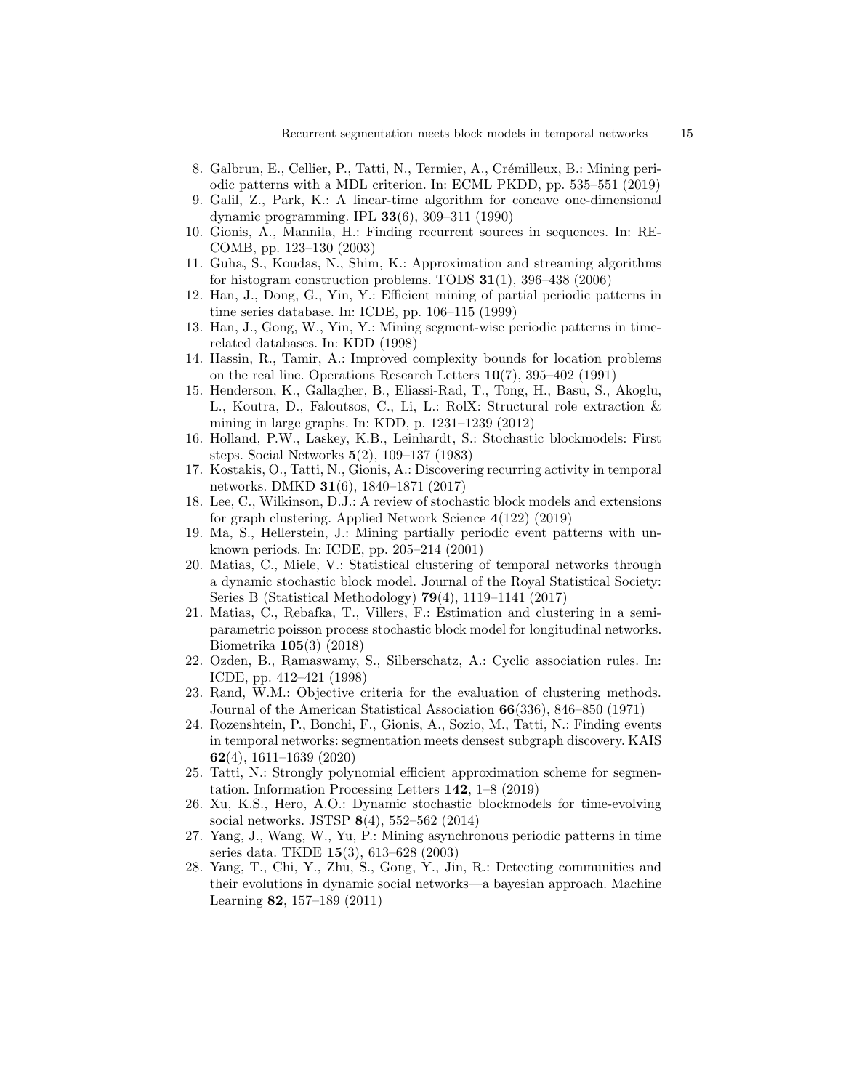- <span id="page-14-12"></span>8. Galbrun, E., Cellier, P., Tatti, N., Termier, A., Crémilleux, B.: Mining periodic patterns with a MDL criterion. In: ECML PKDD, pp. 535–551 (2019)
- <span id="page-14-1"></span>9. Galil, Z., Park, K.: A linear-time algorithm for concave one-dimensional dynamic programming. IPL 33(6), 309–311 (1990)
- <span id="page-14-0"></span>10. Gionis, A., Mannila, H.: Finding recurrent sources in sequences. In: RE-COMB, pp. 123–130 (2003)
- <span id="page-14-3"></span>11. Guha, S., Koudas, N., Shim, K.: Approximation and streaming algorithms for histogram construction problems. TODS  $31(1)$ ,  $396-438(2006)$
- <span id="page-14-13"></span>12. Han, J., Dong, G., Yin, Y.: Efficient mining of partial periodic patterns in time series database. In: ICDE, pp. 106–115 (1999)
- <span id="page-14-14"></span>13. Han, J., Gong, W., Yin, Y.: Mining segment-wise periodic patterns in timerelated databases. In: KDD (1998)
- <span id="page-14-2"></span>14. Hassin, R., Tamir, A.: Improved complexity bounds for location problems on the real line. Operations Research Letters 10(7), 395–402 (1991)
- <span id="page-14-11"></span>15. Henderson, K., Gallagher, B., Eliassi-Rad, T., Tong, H., Basu, S., Akoglu, L., Koutra, D., Faloutsos, C., Li, L.: RolX: Structural role extraction & mining in large graphs. In: KDD, p. 1231–1239 (2012)
- <span id="page-14-5"></span>16. Holland, P.W., Laskey, K.B., Leinhardt, S.: Stochastic blockmodels: First steps. Social Networks 5(2), 109–137 (1983)
- <span id="page-14-18"></span>17. Kostakis, O., Tatti, N., Gionis, A.: Discovering recurring activity in temporal networks. DMKD  $31(6)$ , 1840–1871 (2017)
- <span id="page-14-10"></span>18. Lee, C., Wilkinson, D.J.: A review of stochastic block models and extensions for graph clustering. Applied Network Science 4(122) (2019)
- <span id="page-14-15"></span>19. Ma, S., Hellerstein, J.: Mining partially periodic event patterns with unknown periods. In: ICDE, pp. 205–214 (2001)
- <span id="page-14-6"></span>20. Matias, C., Miele, V.: Statistical clustering of temporal networks through a dynamic stochastic block model. Journal of the Royal Statistical Society: Series B (Statistical Methodology) 79(4), 1119–1141 (2017)
- <span id="page-14-9"></span>21. Matias, C., Rebafka, T., Villers, F.: Estimation and clustering in a semiparametric poisson process stochastic block model for longitudinal networks. Biometrika 105(3) (2018)
- <span id="page-14-16"></span>22. Ozden, B., Ramaswamy, S., Silberschatz, A.: Cyclic association rules. In: ICDE, pp. 412–421 (1998)
- <span id="page-14-20"></span>23. Rand, W.M.: Objective criteria for the evaluation of clustering methods. Journal of the American Statistical Association 66(336), 846–850 (1971)
- <span id="page-14-19"></span>24. Rozenshtein, P., Bonchi, F., Gionis, A., Sozio, M., Tatti, N.: Finding events in temporal networks: segmentation meets densest subgraph discovery. KAIS 62(4), 1611–1639 (2020)
- <span id="page-14-4"></span>25. Tatti, N.: Strongly polynomial efficient approximation scheme for segmentation. Information Processing Letters 142, 1–8 (2019)
- <span id="page-14-8"></span>26. Xu, K.S., Hero, A.O.: Dynamic stochastic blockmodels for time-evolving social networks. JSTSP 8(4), 552–562 (2014)
- <span id="page-14-17"></span>27. Yang, J., Wang, W., Yu, P.: Mining asynchronous periodic patterns in time series data. TKDE 15(3), 613–628 (2003)
- <span id="page-14-7"></span>28. Yang, T., Chi, Y., Zhu, S., Gong, Y., Jin, R.: Detecting communities and their evolutions in dynamic social networks—a bayesian approach. Machine Learning 82, 157–189 (2011)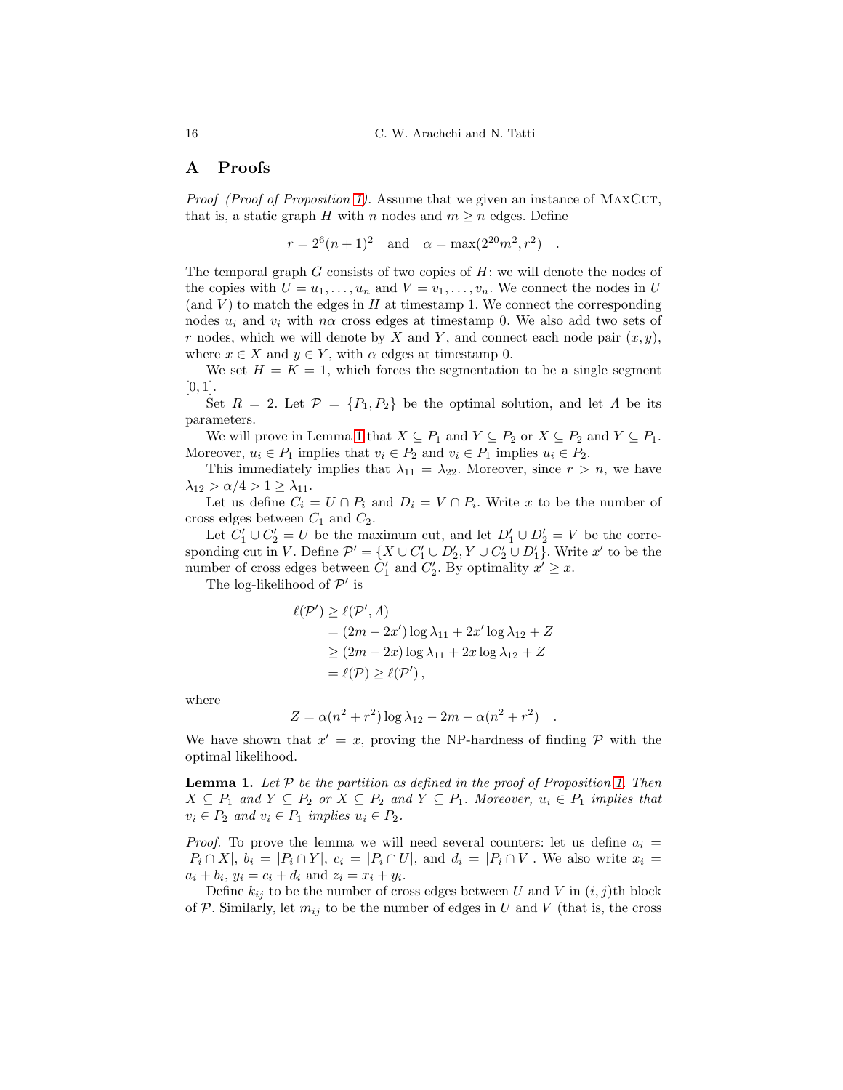## A Proofs

Proof (Proof of Proposition [1\)](#page-4-2). Assume that we given an instance of MAXCUT, that is, a static graph H with n nodes and  $m \geq n$  edges. Define

 $r = 2^6(n+1)^2$  and  $\alpha = \max(2^{20}m^2, r^2)$ .

The temporal graph  $G$  consists of two copies of  $H$ : we will denote the nodes of the copies with  $U = u_1, \ldots, u_n$  and  $V = v_1, \ldots, v_n$ . We connect the nodes in U (and  $V$ ) to match the edges in  $H$  at timestamp 1. We connect the corresponding nodes  $u_i$  and  $v_i$  with  $n\alpha$  cross edges at timestamp 0. We also add two sets of r nodes, which we will denote by X and Y, and connect each node pair  $(x, y)$ , where  $x \in X$  and  $y \in Y$ , with  $\alpha$  edges at timestamp 0.

We set  $H = K = 1$ , which forces the segmentation to be a single segment  $[0, 1]$ .

Set  $R = 2$ . Let  $\mathcal{P} = \{P_1, P_2\}$  be the optimal solution, and let  $\Lambda$  be its parameters.

We will prove in Lemma [1](#page-15-0) that  $X \subseteq P_1$  and  $Y \subseteq P_2$  or  $X \subseteq P_2$  and  $Y \subseteq P_1$ . Moreover,  $u_i \in P_1$  implies that  $v_i \in P_2$  and  $v_i \in P_1$  implies  $u_i \in P_2$ .

This immediately implies that  $\lambda_{11} = \lambda_{22}$ . Moreover, since  $r > n$ , we have  $\lambda_{12} > \alpha/4 > 1 \geq \lambda_{11}$ .

Let us define  $C_i = U \cap P_i$  and  $D_i = V \cap P_i$ . Write x to be the number of cross edges between  $C_1$  and  $C_2$ .

Let  $C'_1 \cup C'_2 = U$  be the maximum cut, and let  $D'_1 \cup D'_2 = V$  be the corresponding cut in V. Define  $\mathcal{P}' = \{X \cup C'_1 \cup D'_2, Y \cup C'_2 \cup D'_1\}$ . Write x' to be the number of cross edges between  $C'_1$  and  $C'_2$ . By optimality  $x' \geq x$ .

The log-likelihood of  $\mathcal{P}'$  is

$$
\ell(\mathcal{P}') \ge \ell(\mathcal{P}', \Lambda)
$$
  
=  $(2m - 2x') \log \lambda_{11} + 2x' \log \lambda_{12} + Z$   

$$
\ge (2m - 2x) \log \lambda_{11} + 2x \log \lambda_{12} + Z
$$
  
=  $\ell(\mathcal{P}) \ge \ell(\mathcal{P}'),$ 

where

$$
Z = \alpha(n^2 + r^2) \log \lambda_{12} - 2m - \alpha(n^2 + r^2) .
$$

We have shown that  $x' = x$ , proving the NP-hardness of finding  $P$  with the optimal likelihood.

<span id="page-15-0"></span>**Lemma [1.](#page-4-2)** Let  $P$  be the partition as defined in the proof of Proposition 1. Then  $X \subseteq P_1$  and  $Y \subseteq P_2$  or  $X \subseteq P_2$  and  $Y \subseteq P_1$ . Moreover,  $u_i \in P_1$  implies that  $v_i \in P_2$  and  $v_i \in P_1$  implies  $u_i \in P_2$ .

*Proof.* To prove the lemma we will need several counters: let us define  $a_i =$  $|P_i \cap X|, b_i = |P_i \cap Y|, c_i = |P_i \cap U|$ , and  $d_i = |P_i \cap V|$ . We also write  $x_i =$  $a_i + b_i$ ,  $y_i = c_i + d_i$  and  $z_i = x_i + y_i$ .

Define  $k_{ij}$  to be the number of cross edges between U and V in  $(i, j)$ th block of P. Similarly, let  $m_{ij}$  to be the number of edges in U and V (that is, the cross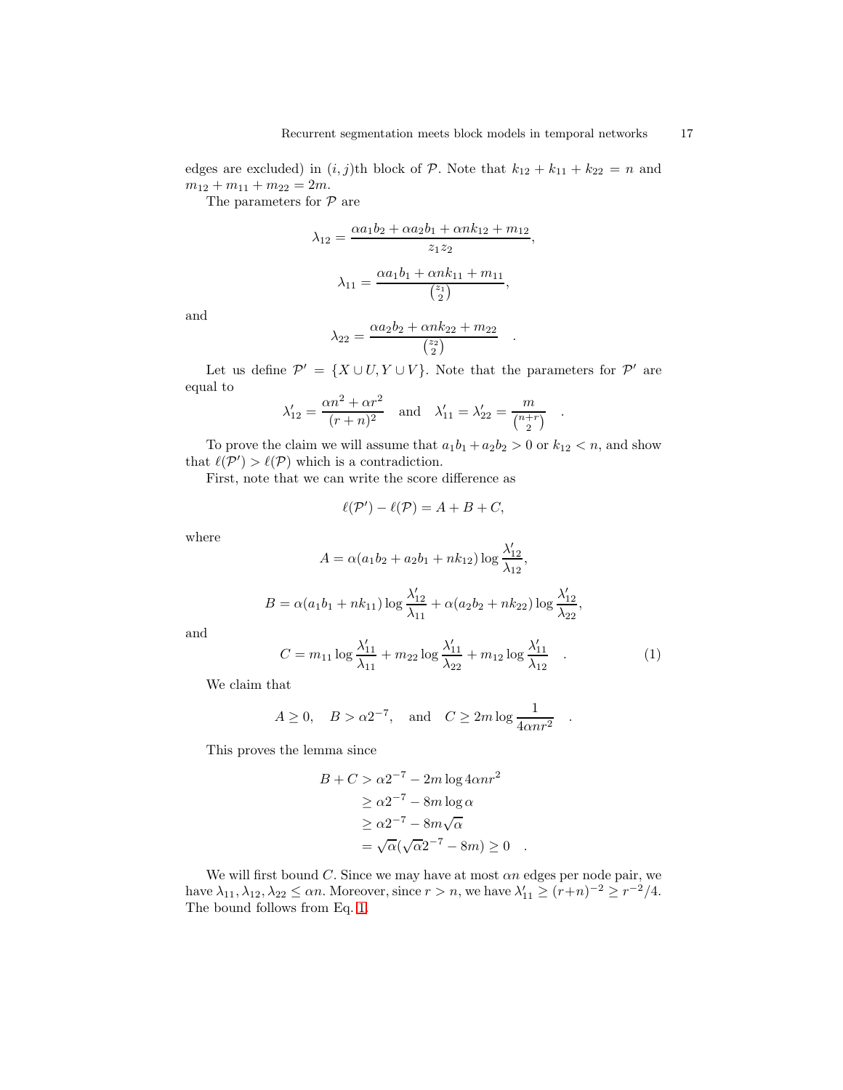edges are excluded) in  $(i, j)$ th block of P. Note that  $k_{12} + k_{11} + k_{22} = n$  and  $m_{12} + m_{11} + m_{22} = 2m.$ 

The parameters for  $P$  are

$$
\lambda_{12} = \frac{\alpha a_1 b_2 + \alpha a_2 b_1 + \alpha n k_{12} + m_{12}}{z_1 z_2},
$$

$$
\lambda_{11} = \frac{\alpha a_1 b_1 + \alpha n k_{11} + m_{11}}{\binom{z_1}{2}},
$$

and

$$
\lambda_{22} = \frac{\alpha a_2 b_2 + \alpha n k_{22} + m_{22}}{\binom{z_2}{2}} .
$$

Let us define  $\mathcal{P}' = \{X \cup U, Y \cup V\}$ . Note that the parameters for  $\mathcal{P}'$  are equal to

$$
\lambda'_{12} = \frac{\alpha n^2 + \alpha r^2}{(r+n)^2}
$$
 and  $\lambda'_{11} = \lambda'_{22} = \frac{m}{\binom{n+r}{2}}$ .

To prove the claim we will assume that  $a_1b_1 + a_2b_2 > 0$  or  $k_{12} < n$ , and show that  $\ell(\mathcal{P}') > \ell(\mathcal{P})$  which is a contradiction.

First, note that we can write the score difference as

$$
\ell(\mathcal{P}') - \ell(\mathcal{P}) = A + B + C,
$$

where

$$
A = \alpha(a_1b_2 + a_2b_1 + nk_{12}) \log \frac{\lambda'_{12}}{\lambda_{12}},
$$
  

$$
B = \alpha(a_1b_1 + nk_{11}) \log \frac{\lambda'_{12}}{\lambda_{11}} + \alpha(a_2b_2 + nk_{22}) \log \frac{\lambda'_{12}}{\lambda_{22}},
$$

and

<span id="page-16-0"></span>
$$
C = m_{11} \log \frac{\lambda'_{11}}{\lambda_{11}} + m_{22} \log \frac{\lambda'_{11}}{\lambda_{22}} + m_{12} \log \frac{\lambda'_{11}}{\lambda_{12}} \quad . \tag{1}
$$

.

We claim that

$$
A \ge 0, \quad B > \alpha 2^{-7}, \quad \text{and} \quad C \ge 2m \log \frac{1}{4\alpha n r^2}
$$

This proves the lemma since

$$
B + C > \alpha 2^{-7} - 2m \log 4 \alpha n r^2
$$
  
\n
$$
\geq \alpha 2^{-7} - 8m \log \alpha
$$
  
\n
$$
\geq \alpha 2^{-7} - 8m \sqrt{\alpha}
$$
  
\n
$$
= \sqrt{\alpha} (\sqrt{\alpha} 2^{-7} - 8m) \geq 0 .
$$

We will first bound  $C$ . Since we may have at most  $\alpha n$  edges per node pair, we have  $\lambda_{11}, \lambda_{12}, \lambda_{22} \le \alpha n$ . Moreover, since  $r > n$ , we have  $\lambda'_{11} \ge (r+n)^{-2} \ge r^{-2}/4$ . The bound follows from Eq. [1.](#page-16-0)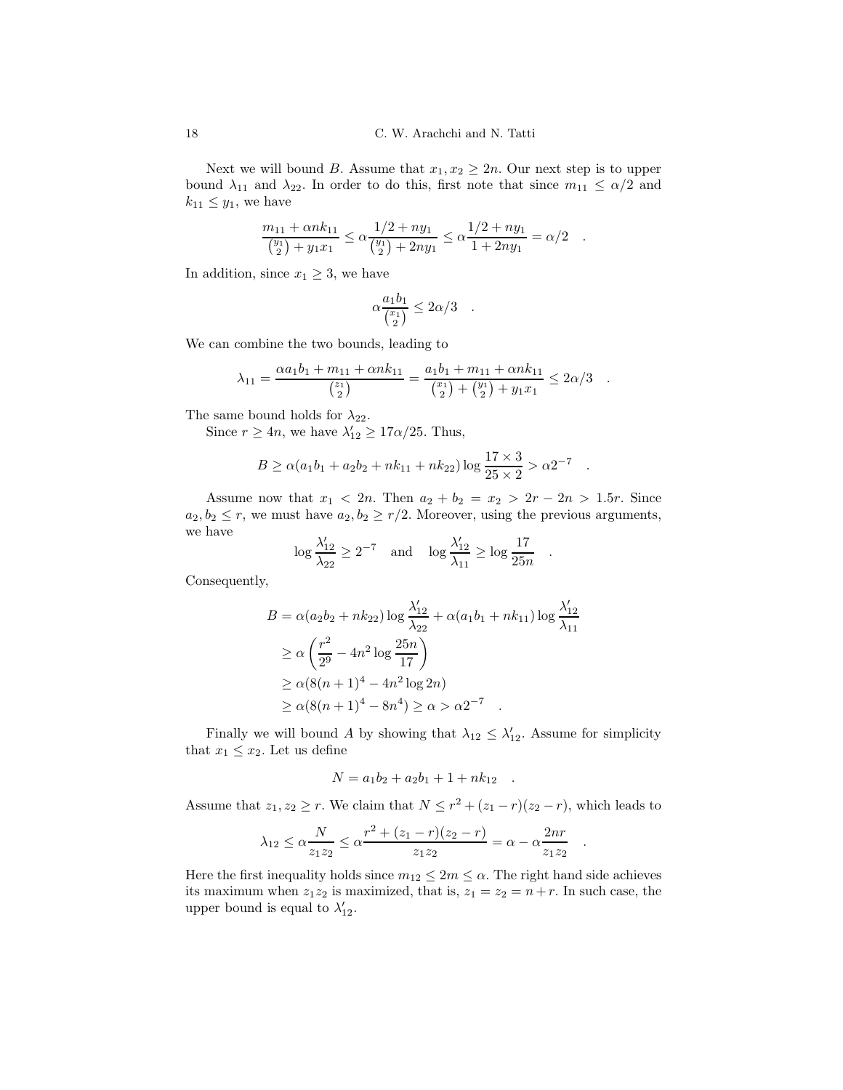Next we will bound B. Assume that  $x_1, x_2 \geq 2n$ . Our next step is to upper bound  $\lambda_{11}$  and  $\lambda_{22}$ . In order to do this, first note that since  $m_{11} \leq \alpha/2$  and  $k_{11} \leq y_1$ , we have

$$
\frac{m_{11} + \alpha n k_{11}}{\binom{y_1}{2} + y_1 x_1} \le \alpha \frac{1/2 + n y_1}{\binom{y_1}{2} + 2n y_1} \le \alpha \frac{1/2 + n y_1}{1 + 2n y_1} = \alpha/2.
$$

In addition, since  $x_1 \geq 3$ , we have

$$
\alpha \frac{a_1 b_1}{\binom{x_1}{2}} \le 2\alpha/3 \quad .
$$

We can combine the two bounds, leading to

$$
\lambda_{11} = \frac{\alpha a_1 b_1 + m_{11} + \alpha n k_{11}}{\binom{z_1}{2}} = \frac{a_1 b_1 + m_{11} + \alpha n k_{11}}{\binom{x_1}{2} + \binom{y_1}{2} + y_1 x_1} \leq 2\alpha/3.
$$

The same bound holds for  $\lambda_{22}$ .

Since  $r \ge 4n$ , we have  $\lambda'_{12} \ge 17\alpha/25$ . Thus,

$$
B \ge \alpha(a_1b_1 + a_2b_2 + nk_{11} + nk_{22})\log\frac{17\times3}{25\times2} > \alpha 2^{-7}
$$

.

.

.

Assume now that  $x_1 < 2n$ . Then  $a_2 + b_2 = x_2 > 2r - 2n > 1.5r$ . Since  $a_2, b_2 \le r$ , we must have  $a_2, b_2 \ge r/2$ . Moreover, using the previous arguments, we have

$$
\log \frac{\lambda'_{12}}{\lambda_{22}} \ge 2^{-7} \quad \text{and} \quad \log \frac{\lambda'_{12}}{\lambda_{11}} \ge \log \frac{17}{25n}
$$

Consequently,

$$
B = \alpha(a_2b_2 + nk_{22}) \log \frac{\lambda'_{12}}{\lambda_{22}} + \alpha(a_1b_1 + nk_{11}) \log \frac{\lambda'_{12}}{\lambda_{11}}
$$
  
\n
$$
\geq \alpha \left(\frac{r^2}{2^9} - 4n^2 \log \frac{25n}{17}\right)
$$
  
\n
$$
\geq \alpha (8(n+1)^4 - 4n^2 \log 2n)
$$
  
\n
$$
\geq \alpha (8(n+1)^4 - 8n^4) \geq \alpha > \alpha 2^{-7}
$$
.

Finally we will bound A by showing that  $\lambda_{12} \leq \lambda'_{12}$ . Assume for simplicity that  $x_1 \leq x_2$ . Let us define

$$
N = a_1b_2 + a_2b_1 + 1 + nk_{12} .
$$

Assume that  $z_1, z_2 \ge r$ . We claim that  $N \le r^2 + (z_1 - r)(z_2 - r)$ , which leads to

$$
\lambda_{12} \le \alpha \frac{N}{z_1 z_2} \le \alpha \frac{r^2 + (z_1 - r)(z_2 - r)}{z_1 z_2} = \alpha - \alpha \frac{2nr}{z_1 z_2}
$$

Here the first inequality holds since  $m_{12} \leq 2m \leq \alpha$ . The right hand side achieves its maximum when  $z_1z_2$  is maximized, that is,  $z_1 = z_2 = n+r$ . In such case, the upper bound is equal to  $\lambda'_{12}$ .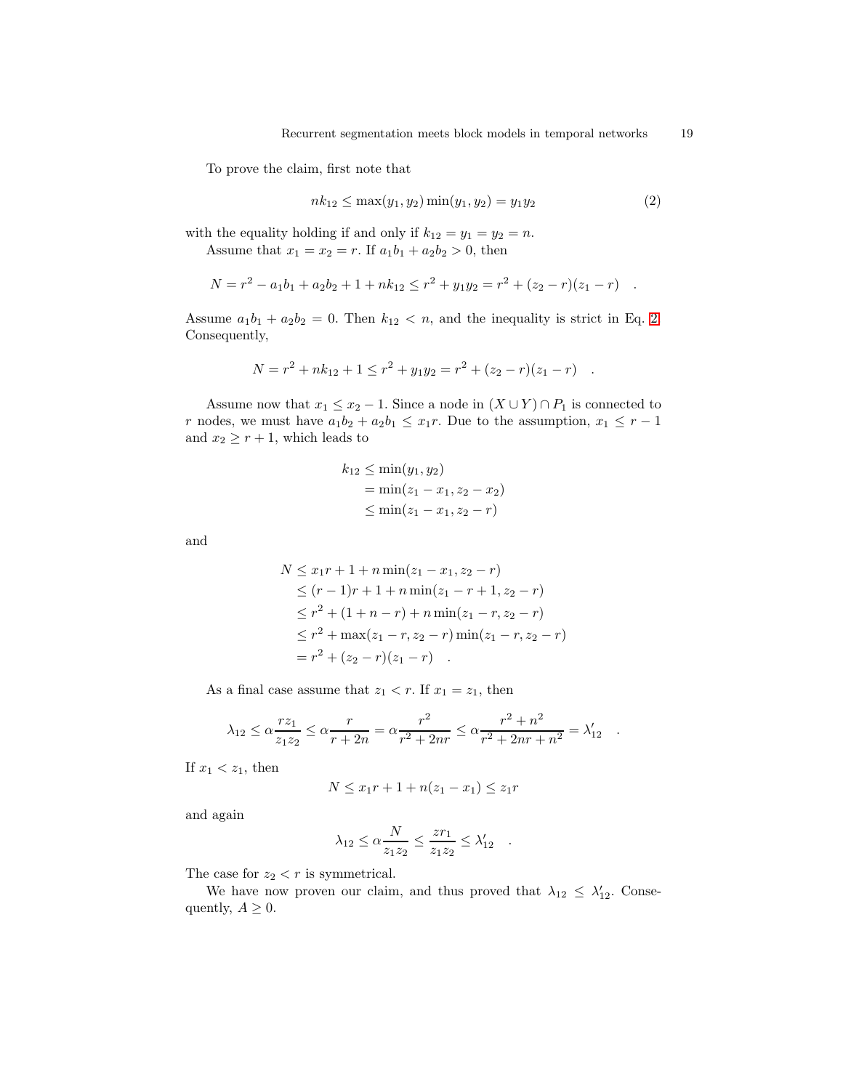To prove the claim, first note that

<span id="page-18-0"></span>
$$
nk_{12} \le \max(y_1, y_2) \min(y_1, y_2) = y_1 y_2 \tag{2}
$$

with the equality holding if and only if  $k_{12} = y_1 = y_2 = n$ . Assume that  $x_1 = x_2 = r$ . If  $a_1b_1 + a_2b_2 > 0$ , then

$$
N = r2 - a1b1 + a2b2 + 1 + nk12 \le r2 + y1y2 = r2 + (z2 - r)(z1 - r) .
$$

Assume  $a_1b_1 + a_2b_2 = 0$ . Then  $k_{12} < n$ , and the inequality is strict in Eq. [2.](#page-18-0) Consequently,

$$
N = r2 + nk12 + 1 \le r2 + y1y2 = r2 + (z2 - r)(z1 - r) .
$$

Assume now that  $x_1 \le x_2 - 1$ . Since a node in  $(X \cup Y) \cap P_1$  is connected to r nodes, we must have  $a_1b_2 + a_2b_1 \leq x_1r$ . Due to the assumption,  $x_1 \leq r - 1$ and  $x_2 \ge r + 1$ , which leads to

$$
k_{12} \le \min(y_1, y_2)
$$
  
=  $\min(z_1 - x_1, z_2 - x_2)$   
 $\le \min(z_1 - x_1, z_2 - r)$ 

and

$$
N \leq x_1r + 1 + n \min(z_1 - x_1, z_2 - r)
$$
  
\n
$$
\leq (r - 1)r + 1 + n \min(z_1 - r + 1, z_2 - r)
$$
  
\n
$$
\leq r^2 + (1 + n - r) + n \min(z_1 - r, z_2 - r)
$$
  
\n
$$
\leq r^2 + \max(z_1 - r, z_2 - r) \min(z_1 - r, z_2 - r)
$$
  
\n
$$
= r^2 + (z_2 - r)(z_1 - r)
$$

As a final case assume that  $z_1 < r$ . If  $x_1 = z_1$ , then

$$
\lambda_{12} \le \alpha \frac{rz_1}{z_1 z_2} \le \alpha \frac{r}{r+2n} = \alpha \frac{r^2}{r^2+2nr} \le \alpha \frac{r^2+n^2}{r^2+2nr+n^2} = \lambda'_{12}.
$$

If  $x_1 < z_1$ , then

$$
N \le x_1 r + 1 + n(z_1 - x_1) \le z_1 r
$$

and again

$$
\lambda_{12} \leq \alpha \frac{N}{z_1 z_2} \leq \frac{z r_1}{z_1 z_2} \leq \lambda'_{12} \quad .
$$

The case for  $z_2 < r$  is symmetrical.

We have now proven our claim, and thus proved that  $\lambda_{12} \leq \lambda'_{12}$ . Consequently,  $A \geq 0$ .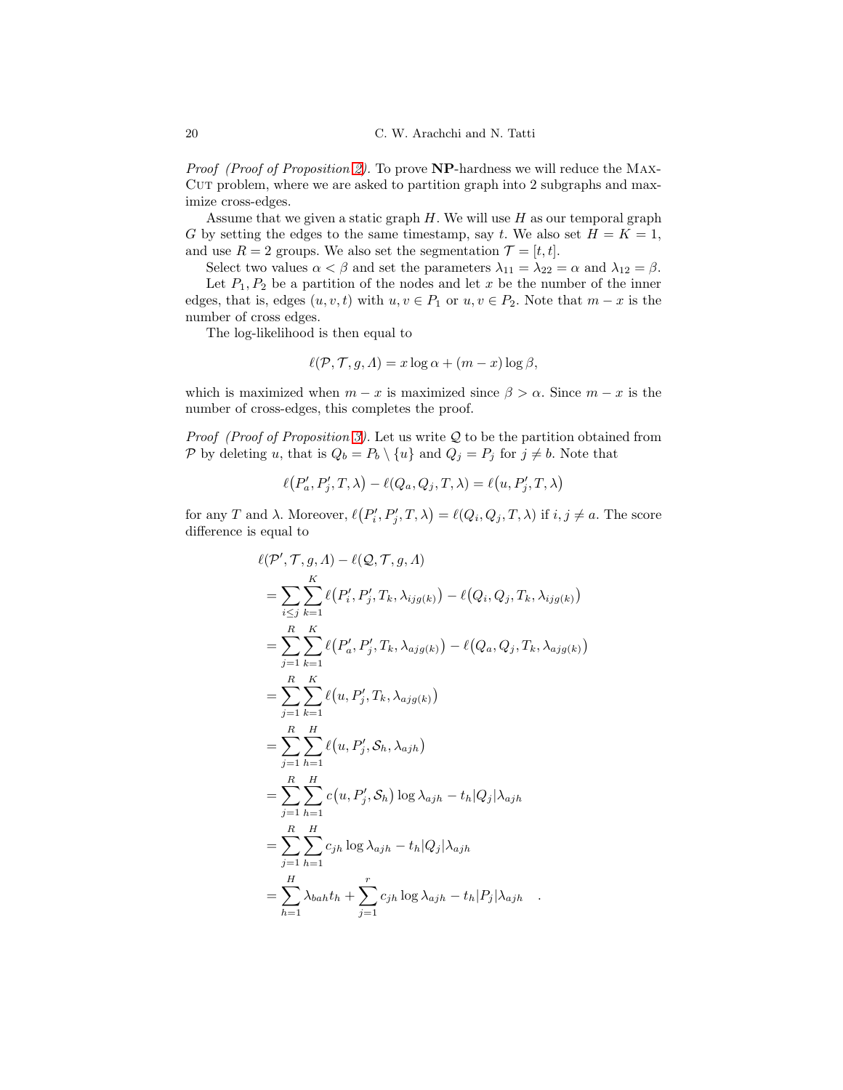Proof (Proof of Proposition [2\)](#page-4-3). To prove NP-hardness we will reduce the MAX-CUT problem, where we are asked to partition graph into 2 subgraphs and maximize cross-edges.

Assume that we given a static graph  $H$ . We will use  $H$  as our temporal graph G by setting the edges to the same timestamp, say t. We also set  $H = K = 1$ , and use  $R = 2$  groups. We also set the segmentation  $\mathcal{T} = [t, t]$ .

Select two values  $\alpha < \beta$  and set the parameters  $\lambda_{11} = \lambda_{22} = \alpha$  and  $\lambda_{12} = \beta$ . Let  $P_1, P_2$  be a partition of the nodes and let x be the number of the inner edges, that is, edges  $(u, v, t)$  with  $u, v \in P_1$  or  $u, v \in P_2$ . Note that  $m - x$  is the number of cross edges.

The log-likelihood is then equal to

$$
\ell(\mathcal{P}, \mathcal{T}, g, \Lambda) = x \log \alpha + (m - x) \log \beta,
$$

which is maximized when  $m - x$  is maximized since  $\beta > \alpha$ . Since  $m - x$  is the number of cross-edges, this completes the proof.

*Proof (Proof of Proposition [3\)](#page-5-0)*. Let us write  $Q$  to be the partition obtained from P by deleting u, that is  $Q_b = P_b \setminus \{u\}$  and  $Q_j = P_j$  for  $j \neq b$ . Note that

$$
\ell(P'_a, P'_j, T, \lambda) - \ell(Q_a, Q_j, T, \lambda) = \ell(u, P'_j, T, \lambda)
$$

for any T and  $\lambda$ . Moreover,  $\ell(P_i', P_j', T, \lambda) = \ell(Q_i, Q_j, T, \lambda)$  if  $i, j \neq a$ . The score difference is equal to

$$
\ell(\mathcal{P}', \mathcal{T}, g, \Lambda) - \ell(\mathcal{Q}, \mathcal{T}, g, \Lambda)
$$
  
\n
$$
= \sum_{i \leq j} \sum_{k=1}^{K} \ell(P'_i, P'_j, T_k, \lambda_{ijg(k)}) - \ell(Q_i, Q_j, T_k, \lambda_{ijg(k)})
$$
  
\n
$$
= \sum_{j=1}^{R} \sum_{k=1}^{K} \ell(P'_a, P'_j, T_k, \lambda_{ajg(k)}) - \ell(Q_a, Q_j, T_k, \lambda_{ajg(k)})
$$
  
\n
$$
= \sum_{j=1}^{R} \sum_{k=1}^{K} \ell(u, P'_j, T_k, \lambda_{ajg(k)})
$$
  
\n
$$
= \sum_{j=1}^{R} \sum_{h=1}^{H} \ell(u, P'_j, \mathcal{S}_h, \lambda_{ajh})
$$
  
\n
$$
= \sum_{j=1}^{R} \sum_{h=1}^{H} c(u, P'_j, \mathcal{S}_h) \log \lambda_{ajh} - t_h |Q_j| \lambda_{ajh}
$$
  
\n
$$
= \sum_{j=1}^{R} \sum_{h=1}^{H} c_{jh} \log \lambda_{ajh} - t_h |Q_j| \lambda_{ajh}
$$
  
\n
$$
= \sum_{h=1}^{H} \lambda_{bah} t_h + \sum_{j=1}^{r} c_{jh} \log \lambda_{ajh} - t_h |P_j| \lambda_{ajh}
$$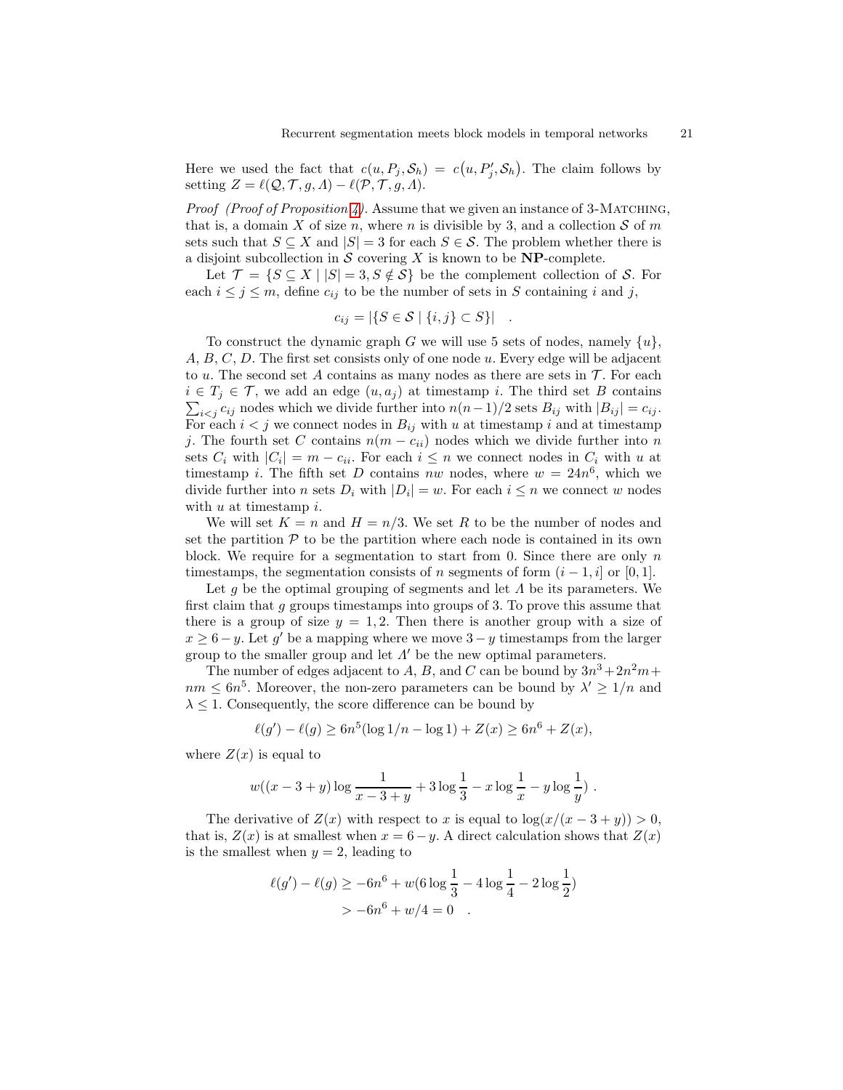Here we used the fact that  $c(u, P_j, S_h) = c(u, P'_j, S_h)$ . The claim follows by setting  $Z = \ell(Q, \mathcal{T}, g, \Lambda) - \ell(\mathcal{P}, \mathcal{T}, g, \Lambda).$ 

*Proof (Proof of Proposition [4\)](#page-6-0).* Assume that we given an instance of 3-MATCHING, that is, a domain X of size n, where n is divisible by 3, and a collection  $S$  of m sets such that  $S \subseteq X$  and  $|S| = 3$  for each  $S \in \mathcal{S}$ . The problem whether there is a disjoint subcollection in  $S$  covering X is known to be **NP**-complete.

Let  $\mathcal{T} = \{ S \subseteq X \mid |S| = 3, S \notin \mathcal{S} \}$  be the complement collection of S. For each  $i \leq j \leq m$ , define  $c_{ij}$  to be the number of sets in S containing i and j,

$$
c_{ij} = |\{S \in \mathcal{S} \mid \{i,j\} \subset S\}|.
$$

To construct the dynamic graph G we will use 5 sets of nodes, namely  $\{u\}$ , A, B, C, D. The first set consists only of one node u. Every edge will be adjacent to u. The second set A contains as many nodes as there are sets in  $\mathcal T$ . For each  $i \in T_j \in \mathcal{T}$ , we add an edge  $(u, a_j)$  at timestamp i. The third set B contains  $\sum_{i < j} c_{ij}$  nodes which we divide further into  $n(n-1)/2$  sets  $B_{ij}$  with  $|B_{ij}| = c_{ij}$ . For each  $i < j$  we connect nodes in  $B_{ij}$  with u at timestamp i and at timestamp j. The fourth set C contains  $n(m - c_{ii})$  nodes which we divide further into n sets  $C_i$  with  $|C_i| = m - c_{ii}$ . For each  $i \leq n$  we connect nodes in  $C_i$  with u at timestamp i. The fifth set D contains nw nodes, where  $w = 24n^6$ , which we divide further into *n* sets  $D_i$  with  $|D_i| = w$ . For each  $i \leq n$  we connect w nodes with  $u$  at timestamp  $i$ .

We will set  $K = n$  and  $H = n/3$ . We set R to be the number of nodes and set the partition  $P$  to be the partition where each node is contained in its own block. We require for a segmentation to start from 0. Since there are only  $n$ timestamps, the segmentation consists of n segments of form  $(i - 1, i]$  or [0,1].

Let q be the optimal grouping of segments and let  $\Lambda$  be its parameters. We first claim that  $g$  groups timestamps into groups of 3. To prove this assume that there is a group of size  $y = 1, 2$ . Then there is another group with a size of  $x \geq 6 - y$ . Let g' be a mapping where we move  $3 - y$  timestamps from the larger group to the smaller group and let  $\Lambda'$  be the new optimal parameters.

The number of edges adjacent to A, B, and C can be bound by  $3n^3 + 2n^2m$ +  $nm \leq 6n^5$ . Moreover, the non-zero parameters can be bound by  $\lambda' \geq 1/n$  and  $\lambda \leq 1$ . Consequently, the score difference can be bound by

$$
\ell(g') - \ell(g) \ge 6n^5(\log 1/n - \log 1) + Z(x) \ge 6n^6 + Z(x),
$$

where  $Z(x)$  is equal to

$$
w((x-3+y)\log\frac{1}{x-3+y}+3\log\frac{1}{3}-x\log\frac{1}{x}-y\log\frac{1}{y})
$$
.

The derivative of  $Z(x)$  with respect to x is equal to  $\log(x/(x-3+y)) > 0$ , that is,  $Z(x)$  is at smallest when  $x = 6 - y$ . A direct calculation shows that  $Z(x)$ is the smallest when  $y = 2$ , leading to

$$
\ell(g') - \ell(g) \ge -6n^6 + w(6 \log \frac{1}{3} - 4 \log \frac{1}{4} - 2 \log \frac{1}{2})
$$
  
>  $-6n^6 + w/4 = 0$ .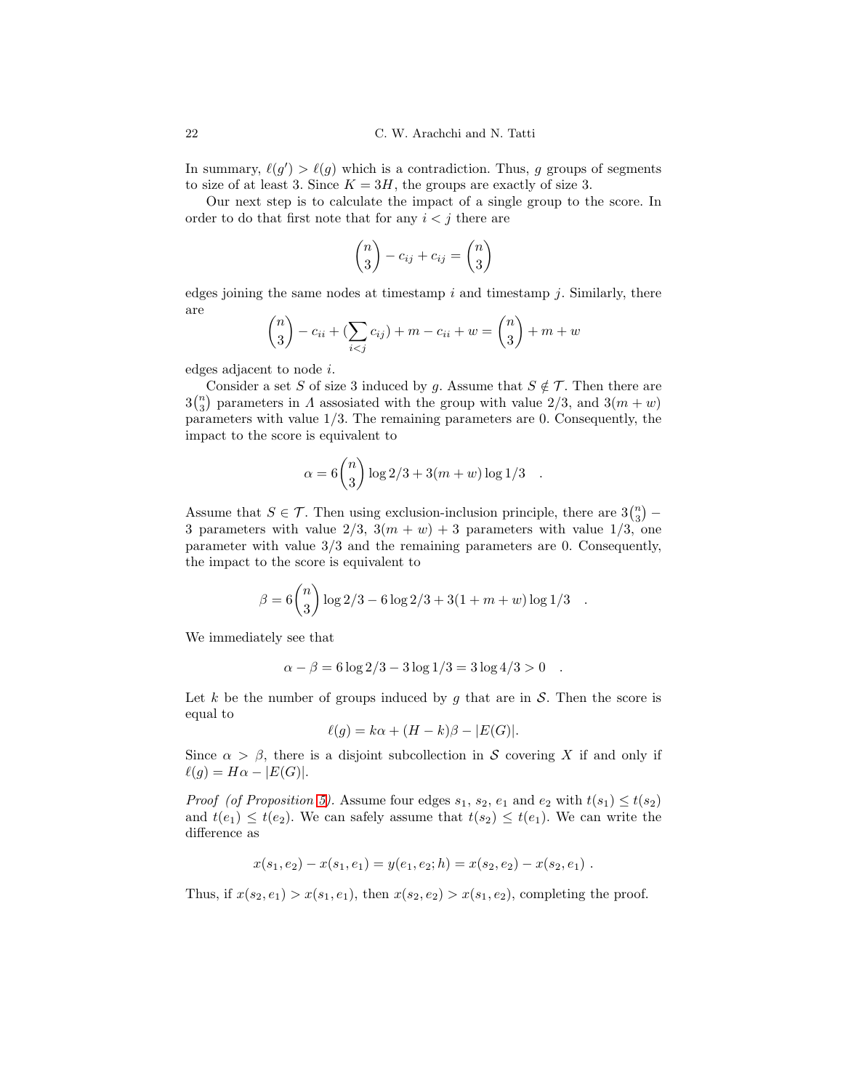In summary,  $\ell(g') > \ell(g)$  which is a contradiction. Thus, g groups of segments to size of at least 3. Since  $K = 3H$ , the groups are exactly of size 3.

Our next step is to calculate the impact of a single group to the score. In order to do that first note that for any  $i < j$  there are

$$
\binom{n}{3} - c_{ij} + c_{ij} = \binom{n}{3}
$$

edges joining the same nodes at timestamp  $i$  and timestamp  $j$ . Similarly, there are

$$
\binom{n}{3} - c_{ii} + (\sum_{i < j} c_{ij}) + m - c_{ii} + w = \binom{n}{3} + m + w
$$

edges adjacent to node i.

Consider a set S of size 3 induced by g. Assume that  $S \notin \mathcal{T}$ . Then there are  $3\binom{n}{3}$  parameters in  $\Lambda$  assosiated with the group with value  $2/3$ , and  $3(m+w)$ parameters with value  $1/3$ . The remaining parameters are 0. Consequently, the impact to the score is equivalent to

$$
\alpha = 6 \binom{n}{3} \log 2/3 + 3(m+w) \log 1/3 .
$$

Assume that  $S \in \mathcal{T}$ . Then using exclusion-inclusion principle, there are  $3\binom{n}{3}$  – 3 parameters with value  $2/3$ ,  $3(m + w) + 3$  parameters with value  $1/3$ , one parameter with value 3/3 and the remaining parameters are 0. Consequently, the impact to the score is equivalent to

$$
\beta = 6 {n \choose 3} \log 2/3 - 6 \log 2/3 + 3(1 + m + w) \log 1/3.
$$

We immediately see that

$$
\alpha - \beta = 6 \log 2/3 - 3 \log 1/3 = 3 \log 4/3 > 0.
$$

Let k be the number of groups induced by g that are in  $S$ . Then the score is equal to

$$
\ell(g) = k\alpha + (H - k)\beta - |E(G)|.
$$

Since  $\alpha > \beta$ , there is a disjoint subcollection in S covering X if and only if  $\ell(g) = H\alpha - |E(G)|.$ 

*Proof (of Proposition [5\)](#page-6-1).* Assume four edges  $s_1$ ,  $s_2$ ,  $e_1$  and  $e_2$  with  $t(s_1) \leq t(s_2)$ and  $t(e_1) \leq t(e_2)$ . We can safely assume that  $t(s_2) \leq t(e_1)$ . We can write the difference as

$$
x(s_1, e_2) - x(s_1, e_1) = y(e_1, e_2; h) = x(s_2, e_2) - x(s_2, e_1).
$$

Thus, if  $x(s_2, e_1) > x(s_1, e_1)$ , then  $x(s_2, e_2) > x(s_1, e_2)$ , completing the proof.